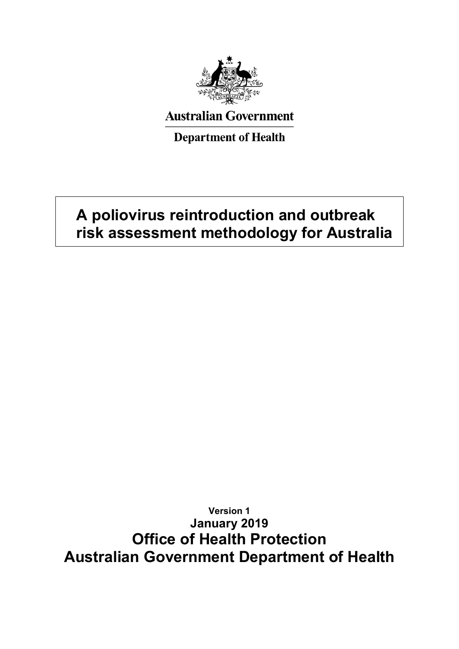

# **Australian Government**

**Department of Health** 

# **A poliovirus reintroduction and outbreak risk assessment methodology for Australia**

**Version 1 January 2019 Office of Health Protection Australian Government Department of Health**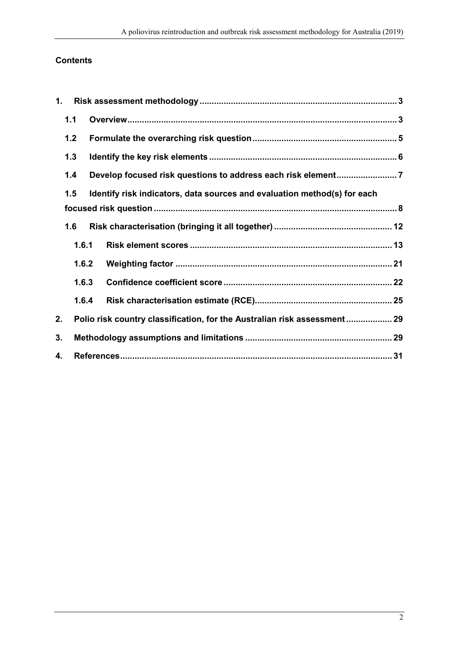# **Contents**

| 1. |       |                                                                           |  |
|----|-------|---------------------------------------------------------------------------|--|
|    | 1.1   |                                                                           |  |
|    | 1.2   |                                                                           |  |
|    | 1.3   |                                                                           |  |
|    | 1.4   |                                                                           |  |
|    | 1.5   | Identify risk indicators, data sources and evaluation method(s) for each  |  |
|    |       |                                                                           |  |
|    | 1.6   |                                                                           |  |
|    | 1.6.1 |                                                                           |  |
|    | 1.6.2 |                                                                           |  |
|    | 1.6.3 |                                                                           |  |
|    | 1.6.4 |                                                                           |  |
| 2. |       | Polio risk country classification, for the Australian risk assessment  29 |  |
| 3. |       |                                                                           |  |
| 4. |       |                                                                           |  |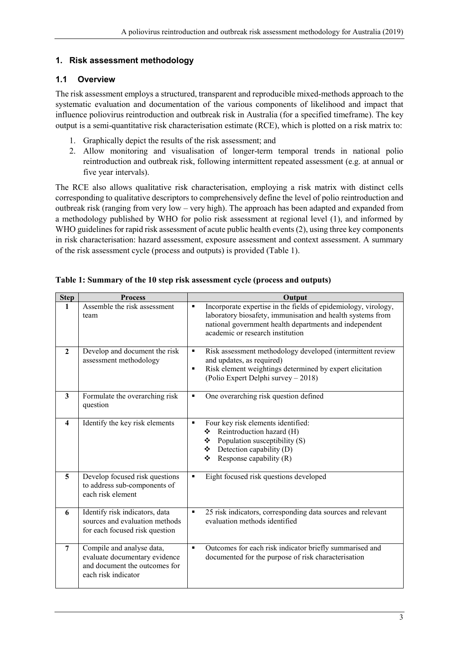#### <span id="page-2-0"></span>**1. Risk assessment methodology**

#### <span id="page-2-1"></span>**1.1 Overview**

The risk assessment employs a structured, transparent and reproducible mixed-methods approach to the systematic evaluation and documentation of the various components of likelihood and impact that influence poliovirus reintroduction and outbreak risk in Australia (for a specified timeframe). The key output is a semi-quantitative risk characterisation estimate (RCE), which is plotted on a risk matrix to:

- 1. Graphically depict the results of the risk assessment; and
- 2. Allow monitoring and visualisation of longer-term temporal trends in national polio reintroduction and outbreak risk, following intermittent repeated assessment (e.g. at annual or five year intervals).

The RCE also allows qualitative risk characterisation, employing a risk matrix with distinct cells corresponding to qualitative descriptors to comprehensively define the level of polio reintroduction and outbreak risk (ranging from very low – very high). The approach has been adapted and expanded from a methodology published by WHO for polio risk assessment at regional level (1), and informed by WHO guidelines for rapid risk assessment of acute public health events  $(2)$ , using three key components in risk characterisation: hazard assessment, exposure assessment and context assessment. A summary of the risk assessment cycle (process and outputs) is provided [\(Table 1\)](#page-2-2).

| <b>Step</b>    | <b>Process</b>                                                                                                     | Output                                                                                                                                                                                                                                       |
|----------------|--------------------------------------------------------------------------------------------------------------------|----------------------------------------------------------------------------------------------------------------------------------------------------------------------------------------------------------------------------------------------|
| 1              | Assemble the risk assessment<br>team                                                                               | Incorporate expertise in the fields of epidemiology, virology,<br>$\blacksquare$<br>laboratory biosafety, immunisation and health systems from<br>national government health departments and independent<br>academic or research institution |
| $\overline{2}$ | Develop and document the risk<br>assessment methodology                                                            | Risk assessment methodology developed (intermittent review<br>٠<br>and updates, as required)<br>Risk element weightings determined by expert elicitation<br>$\blacksquare$<br>(Polio Expert Delphi survey - 2018)                            |
| 3              | Formulate the overarching risk<br>question                                                                         | One overarching risk question defined<br>٠                                                                                                                                                                                                   |
| 4              | Identify the key risk elements                                                                                     | Four key risk elements identified:<br>$\blacksquare$<br>Reintroduction hazard (H)<br>❖<br>$\div$ Population susceptibility (S)<br>$\div$ Detection capability (D)<br>Response capability (R)<br>❖                                            |
| $\overline{5}$ | Develop focused risk questions<br>to address sub-components of<br>each risk element                                | Eight focused risk questions developed<br>٠                                                                                                                                                                                                  |
| 6              | Identify risk indicators, data<br>sources and evaluation methods<br>for each focused risk question                 | 25 risk indicators, corresponding data sources and relevant<br>$\blacksquare$<br>evaluation methods identified                                                                                                                               |
| $\overline{7}$ | Compile and analyse data,<br>evaluate documentary evidence<br>and document the outcomes for<br>each risk indicator | Outcomes for each risk indicator briefly summarised and<br>$\blacksquare$<br>documented for the purpose of risk characterisation                                                                                                             |

<span id="page-2-2"></span>**Table 1: Summary of the 10 step risk assessment cycle (process and outputs)**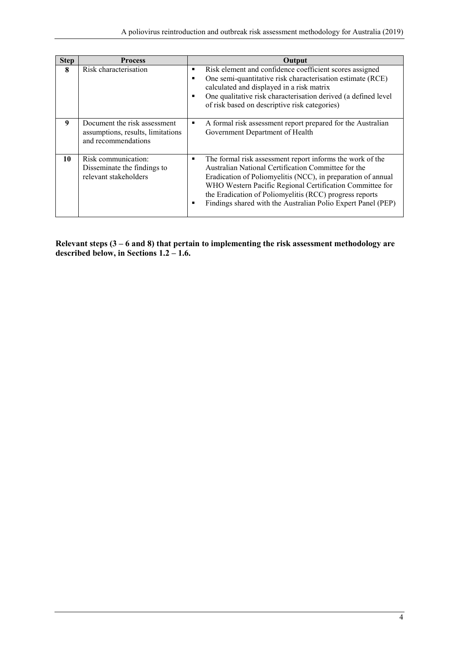| <b>Step</b> | <b>Process</b>                                                                           | Output                                                                                                                                                                                                                                                                                                                                                                            |
|-------------|------------------------------------------------------------------------------------------|-----------------------------------------------------------------------------------------------------------------------------------------------------------------------------------------------------------------------------------------------------------------------------------------------------------------------------------------------------------------------------------|
| 8           | Risk characterisation                                                                    | Risk element and confidence coefficient scores assigned<br>٠<br>One semi-quantitative risk characterisation estimate (RCE)<br>calculated and displayed in a risk matrix<br>One qualitative risk characterisation derived (a defined level<br>of risk based on descriptive risk categories)                                                                                        |
| 9           | Document the risk assessment<br>assumptions, results, limitations<br>and recommendations | A formal risk assessment report prepared for the Australian<br>٠<br>Government Department of Health                                                                                                                                                                                                                                                                               |
| 10          | Risk communication:<br>Disseminate the findings to<br>relevant stakeholders              | The formal risk assessment report informs the work of the<br>٠<br>Australian National Certification Committee for the<br>Eradication of Poliomyelitis (NCC), in preparation of annual<br>WHO Western Pacific Regional Certification Committee for<br>the Eradication of Poliomyelitis (RCC) progress reports<br>Findings shared with the Australian Polio Expert Panel (PEP)<br>٠ |

**Relevant steps (3 – 6 and 8) that pertain to implementing the risk assessment methodology are described below, in Sections 1.2 – 1.6.**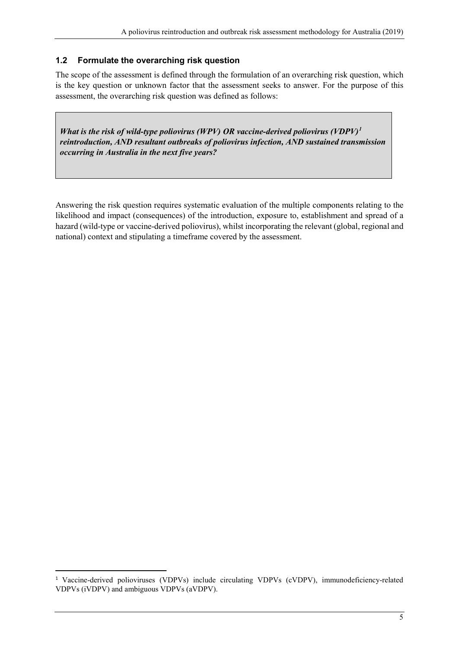#### <span id="page-4-0"></span>**1.2 Formulate the overarching risk question**

The scope of the assessment is defined through the formulation of an overarching risk question, which is the key question or unknown factor that the assessment seeks to answer. For the purpose of this assessment, the overarching risk question was defined as follows:

*What is the risk of wild-type poliovirus (WPV) OR vaccine-derived poliovirus (VDPV)[1](#page-4-1) reintroduction, AND resultant outbreaks of poliovirus infection, AND sustained transmission occurring in Australia in the next five years?*

Answering the risk question requires systematic evaluation of the multiple components relating to the likelihood and impact (consequences) of the introduction, exposure to, establishment and spread of a hazard (wild-type or vaccine-derived poliovirus), whilst incorporating the relevant (global, regional and national) context and stipulating a timeframe covered by the assessment.

<span id="page-4-1"></span><sup>&</sup>lt;sup>1</sup> Vaccine-derived polioviruses (VDPVs) include circulating VDPVs (cVDPV), immunodeficiency-related VDPVs (iVDPV) and ambiguous VDPVs (aVDPV).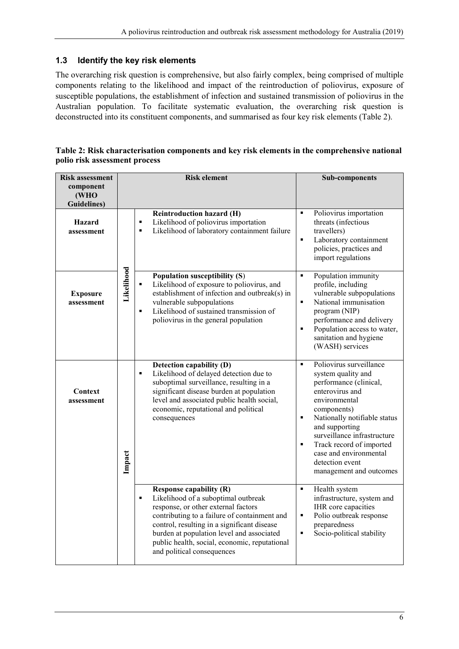#### <span id="page-5-0"></span>**1.3 Identify the key risk elements**

The overarching risk question is comprehensive, but also fairly complex, being comprised of multiple components relating to the likelihood and impact of the reintroduction of poliovirus, exposure of susceptible populations, the establishment of infection and sustained transmission of poliovirus in the Australian population. To facilitate systematic evaluation, the overarching risk question is deconstructed into its constituent components, and summarised as four key risk elements [\(Table 2\)](#page-5-1).

<span id="page-5-1"></span>

|                               | Table 2: Risk characterisation components and key risk elements in the comprehensive national |
|-------------------------------|-----------------------------------------------------------------------------------------------|
| polio risk assessment process |                                                                                               |

| <b>Risk assessment</b>                   |            | <b>Risk element</b>                                                                                                                                                                                                                                                                                                                          | <b>Sub-components</b>                                                                                                                                                                                                                                                                                                                                                 |  |  |
|------------------------------------------|------------|----------------------------------------------------------------------------------------------------------------------------------------------------------------------------------------------------------------------------------------------------------------------------------------------------------------------------------------------|-----------------------------------------------------------------------------------------------------------------------------------------------------------------------------------------------------------------------------------------------------------------------------------------------------------------------------------------------------------------------|--|--|
| component<br>(WHO<br><b>Guidelines</b> ) |            |                                                                                                                                                                                                                                                                                                                                              |                                                                                                                                                                                                                                                                                                                                                                       |  |  |
| <b>Hazard</b><br>assessment              |            | <b>Reintroduction hazard (H)</b><br>Likelihood of poliovirus importation<br>$\blacksquare$<br>Likelihood of laboratory containment failure<br>٠                                                                                                                                                                                              | Poliovirus importation<br>$\blacksquare$<br>threats (infectious<br>travellers)<br>Laboratory containment<br>$\blacksquare$<br>policies, practices and<br>import regulations                                                                                                                                                                                           |  |  |
| <b>Exposure</b><br>assessment            | Likelihood | Population susceptibility (S)<br>Likelihood of exposure to poliovirus, and<br>$\blacksquare$<br>establishment of infection and outbreak(s) in<br>vulnerable subpopulations<br>Likelihood of sustained transmission of<br>٠<br>poliovirus in the general population                                                                           | Population immunity<br>$\blacksquare$<br>profile, including<br>vulnerable subpopulations<br>National immunisation<br>$\blacksquare$<br>program (NIP)<br>performance and delivery<br>Population access to water,<br>$\blacksquare$<br>sanitation and hygiene<br>(WASH) services                                                                                        |  |  |
| Context<br>assessment                    | Impact     | Detection capability (D)<br>Likelihood of delayed detection due to<br>$\blacksquare$<br>suboptimal surveillance, resulting in a<br>significant disease burden at population<br>level and associated public health social,<br>economic, reputational and political<br>consequences                                                            | Poliovirus surveillance<br>$\blacksquare$<br>system quality and<br>performance (clinical,<br>enterovirus and<br>environmental<br>components)<br>Nationally notifiable status<br>$\blacksquare$<br>and supporting<br>surveillance infrastructure<br>Track record of imported<br>$\blacksquare$<br>case and environmental<br>detection event<br>management and outcomes |  |  |
|                                          |            | <b>Response capability (R)</b><br>Likelihood of a suboptimal outbreak<br>٠<br>response, or other external factors<br>contributing to a failure of containment and<br>control, resulting in a significant disease<br>burden at population level and associated<br>public health, social, economic, reputational<br>and political consequences | Health system<br>$\blacksquare$<br>infrastructure, system and<br>IHR core capacities<br>Polio outbreak response<br>$\blacksquare$<br>preparedness<br>Socio-political stability<br>$\blacksquare$                                                                                                                                                                      |  |  |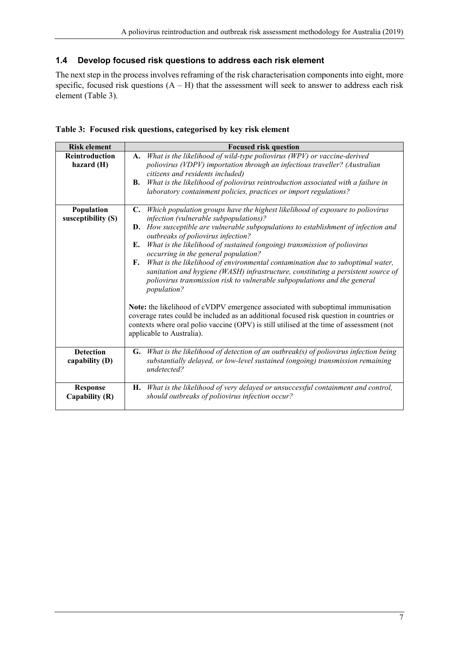# <span id="page-6-0"></span>**1.4 Develop focused risk questions to address each risk element**

The next step in the process involves reframing of the risk characterisation components into eight, more specific, focused risk questions  $(A - H)$  that the assessment will seek to answer to address each risk element [\(Table 3\)](#page-6-1).

<span id="page-6-1"></span>

|  |  |  |  | Table 3: Focused risk questions, categorised by key risk element |  |  |  |  |
|--|--|--|--|------------------------------------------------------------------|--|--|--|--|
|--|--|--|--|------------------------------------------------------------------|--|--|--|--|

| <b>Risk element</b>                 | <b>Focused risk question</b>                                                                                                                                                                                                                                                                                                                                                                                                                                                                                                                                                                                                                                                                                                                                                                                                                                                                                                                                               |
|-------------------------------------|----------------------------------------------------------------------------------------------------------------------------------------------------------------------------------------------------------------------------------------------------------------------------------------------------------------------------------------------------------------------------------------------------------------------------------------------------------------------------------------------------------------------------------------------------------------------------------------------------------------------------------------------------------------------------------------------------------------------------------------------------------------------------------------------------------------------------------------------------------------------------------------------------------------------------------------------------------------------------|
| <b>Reintroduction</b><br>hazard (H) | What is the likelihood of wild-type poliovirus (WPV) or vaccine-derived<br>A.<br>poliovirus (VDPV) importation through an infectious traveller? (Australian<br>citizens and residents included)<br>What is the likelihood of poliovirus reintroduction associated with a failure in<br><b>B.</b><br>laboratory containment policies, practices or import regulations?                                                                                                                                                                                                                                                                                                                                                                                                                                                                                                                                                                                                      |
| Population<br>susceptibility (S)    | Which population groups have the highest likelihood of exposure to poliovirus<br>C.<br>infection (vulnerable subpopulations)?<br><b>D.</b> How susceptible are vulnerable subpopulations to establishment of infection and<br>outbreaks of poliovirus infection?<br>What is the likelihood of sustained (ongoing) transmission of poliovirus<br>Е.<br>occurring in the general population?<br>What is the likelihood of environmental contamination due to suboptimal water,<br>F.<br>sanitation and hygiene (WASH) infrastructure, constituting a persistent source of<br>poliovirus transmission risk to vulnerable subpopulations and the general<br>population?<br>Note: the likelihood of cVDPV emergence associated with suboptimal immunisation<br>coverage rates could be included as an additional focused risk question in countries or<br>contexts where oral polio vaccine (OPV) is still utilised at the time of assessment (not<br>applicable to Australia). |
| <b>Detection</b><br>capability (D)  | What is the likelihood of detection of an outbreak(s) of poliovirus infection being<br>G.<br>substantially delayed, or low-level sustained (ongoing) transmission remaining<br>undetected?                                                                                                                                                                                                                                                                                                                                                                                                                                                                                                                                                                                                                                                                                                                                                                                 |
| <b>Response</b><br>Capability (R)   | What is the likelihood of very delayed or unsuccessful containment and control,<br>Н.<br>should outbreaks of poliovirus infection occur?                                                                                                                                                                                                                                                                                                                                                                                                                                                                                                                                                                                                                                                                                                                                                                                                                                   |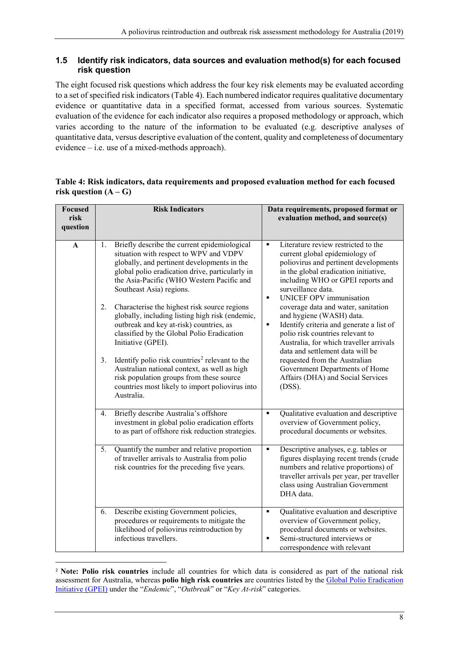#### <span id="page-7-0"></span>**1.5 Identify risk indicators, data sources and evaluation method(s) for each focused risk question**

The eight focused risk questions which address the four key risk elements may be evaluated according to a set of specified risk indicators [\(Table 4\)](#page-7-1). Each numbered indicator requires qualitative documentary evidence or quantitative data in a specified format, accessed from various sources. Systematic evaluation of the evidence for each indicator also requires a proposed methodology or approach, which varies according to the nature of the information to be evaluated (e.g. descriptive analyses of quantitative data, versus descriptive evaluation of the content, quality and completeness of documentary evidence – i.e. use of a mixed-methods approach).

#### <span id="page-7-1"></span>**Table 4: Risk indicators, data requirements and proposed evaluation method for each focused**  risk question  $(A - G)$

| <b>Focused</b><br>risk<br>question |    | <b>Risk Indicators</b>                                                                                                                                                                                                                                            |                                  | Data requirements, proposed format or<br>evaluation method, and source(s)                                                                                                                                                                     |
|------------------------------------|----|-------------------------------------------------------------------------------------------------------------------------------------------------------------------------------------------------------------------------------------------------------------------|----------------------------------|-----------------------------------------------------------------------------------------------------------------------------------------------------------------------------------------------------------------------------------------------|
| A                                  | 1. | Briefly describe the current epidemiological<br>situation with respect to WPV and VDPV<br>globally, and pertinent developments in the<br>global polio eradication drive, particularly in<br>the Asia-Pacific (WHO Western Pacific and<br>Southeast Asia) regions. | $\blacksquare$<br>$\blacksquare$ | Literature review restricted to the<br>current global epidemiology of<br>poliovirus and pertinent developments<br>in the global eradication initiative,<br>including WHO or GPEI reports and<br>surveillance data.<br>UNICEF OPV immunisation |
|                                    | 2. | Characterise the highest risk source regions<br>globally, including listing high risk (endemic,<br>outbreak and key at-risk) countries, as<br>classified by the Global Polio Eradication<br>Initiative (GPEI).                                                    | ٠                                | coverage data and water, sanitation<br>and hygiene (WASH) data.<br>Identify criteria and generate a list of<br>polio risk countries relevant to<br>Australia, for which traveller arrivals<br>data and settlement data will be                |
|                                    | 3. | Identify polio risk countries <sup>2</sup> relevant to the<br>Australian national context, as well as high<br>risk population groups from these source<br>countries most likely to import poliovirus into<br>Australia.                                           |                                  | requested from the Australian<br>Government Departments of Home<br>Affairs (DHA) and Social Services<br>$(DSS)$ .                                                                                                                             |
|                                    | 4. | Briefly describe Australia's offshore<br>investment in global polio eradication efforts<br>to as part of offshore risk reduction strategies.                                                                                                                      | $\blacksquare$                   | Qualitative evaluation and descriptive<br>overview of Government policy,<br>procedural documents or websites.                                                                                                                                 |
|                                    | 5. | Quantify the number and relative proportion<br>of traveller arrivals to Australia from polio<br>risk countries for the preceding five years.                                                                                                                      | ٠                                | Descriptive analyses, e.g. tables or<br>figures displaying recent trends (crude<br>numbers and relative proportions) of<br>traveller arrivals per year, per traveller<br>class using Australian Government<br>DHA data.                       |
|                                    | 6. | Describe existing Government policies,<br>procedures or requirements to mitigate the<br>likelihood of poliovirus reintroduction by<br>infectious travellers.                                                                                                      | $\blacksquare$<br>$\blacksquare$ | Qualitative evaluation and descriptive<br>overview of Government policy,<br>procedural documents or websites.<br>Semi-structured interviews or<br>correspondence with relevant                                                                |

<span id="page-7-2"></span> <sup>2</sup> **Note: Polio risk countries** include all countries for which data is considered as part of the national risk assessment for Australia, whereas **polio high risk countries** are countries listed by the [Global Polio Eradication](http://polioeradication.org/where-we-work/)  [Initiative \(GPEI\)](http://polioeradication.org/where-we-work/) under the "*Endemic*", "*Outbreak*" or "*Key At-risk*" categories.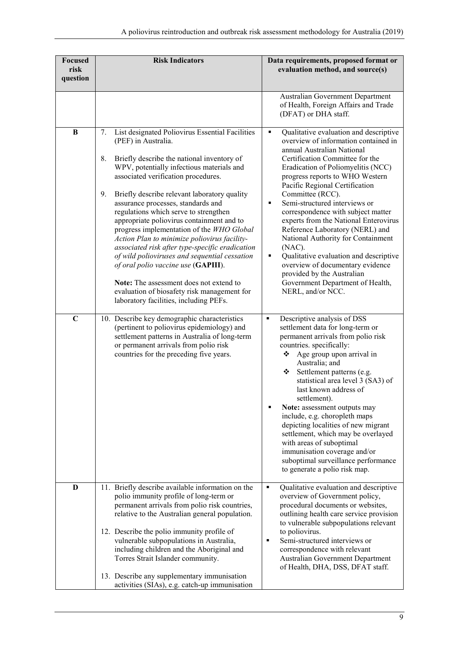| <b>Focused</b><br>risk<br>question | <b>Risk Indicators</b>                                                                                                                                                                                                                                                                                                                                                                                                                                                                                                                                                                                                                                                                                                                                                                    | Data requirements, proposed format or<br>evaluation method, and source(s)                                                                                                                                                                                                                                                                                                                                                                                                                                                                                                                                                                                             |
|------------------------------------|-------------------------------------------------------------------------------------------------------------------------------------------------------------------------------------------------------------------------------------------------------------------------------------------------------------------------------------------------------------------------------------------------------------------------------------------------------------------------------------------------------------------------------------------------------------------------------------------------------------------------------------------------------------------------------------------------------------------------------------------------------------------------------------------|-----------------------------------------------------------------------------------------------------------------------------------------------------------------------------------------------------------------------------------------------------------------------------------------------------------------------------------------------------------------------------------------------------------------------------------------------------------------------------------------------------------------------------------------------------------------------------------------------------------------------------------------------------------------------|
|                                    |                                                                                                                                                                                                                                                                                                                                                                                                                                                                                                                                                                                                                                                                                                                                                                                           | Australian Government Department<br>of Health, Foreign Affairs and Trade<br>(DFAT) or DHA staff.                                                                                                                                                                                                                                                                                                                                                                                                                                                                                                                                                                      |
| $\bf{B}$                           | 7.<br>List designated Poliovirus Essential Facilities<br>(PEF) in Australia.<br>8.<br>Briefly describe the national inventory of<br>WPV, potentially infectious materials and<br>associated verification procedures.<br>9.<br>Briefly describe relevant laboratory quality<br>assurance processes, standards and<br>regulations which serve to strengthen<br>appropriate poliovirus containment and to<br>progress implementation of the WHO Global<br>Action Plan to minimize poliovirus facility-<br>associated risk after type-specific eradication<br>of wild polioviruses and sequential cessation<br>of oral polio vaccine use (GAPIII).<br><b>Note:</b> The assessment does not extend to<br>evaluation of biosafety risk management for<br>laboratory facilities, including PEFs. | ٠<br>Qualitative evaluation and descriptive<br>overview of information contained in<br>annual Australian National<br>Certification Committee for the<br>Eradication of Poliomyelitis (NCC)<br>progress reports to WHO Western<br>Pacific Regional Certification<br>Committee (RCC).<br>Semi-structured interviews or<br>٠<br>correspondence with subject matter<br>experts from the National Enterovirus<br>Reference Laboratory (NERL) and<br>National Authority for Containment<br>(NAC).<br>Qualitative evaluation and descriptive<br>٠<br>overview of documentary evidence<br>provided by the Australian<br>Government Department of Health,<br>NERL, and/or NCC. |
| $\mathbf C$                        | 10. Describe key demographic characteristics<br>(pertinent to poliovirus epidemiology) and<br>settlement patterns in Australia of long-term<br>or permanent arrivals from polio risk<br>countries for the preceding five years.                                                                                                                                                                                                                                                                                                                                                                                                                                                                                                                                                           | Descriptive analysis of DSS<br>$\blacksquare$<br>settlement data for long-term or<br>permanent arrivals from polio risk<br>countries. specifically:<br>Age group upon arrival in<br>❖<br>Australia; and<br>❖<br>Settlement patterns (e.g.<br>statistical area level 3 (SA3) of<br>last known address of<br>settlement).<br>Note: assessment outputs may<br>include, e.g. choropleth maps<br>depicting localities of new migrant<br>settlement, which may be overlayed<br>with areas of suboptimal<br>immunisation coverage and/or<br>suboptimal surveillance performance<br>to generate a polio risk map.                                                             |
| D                                  | 11. Briefly describe available information on the<br>polio immunity profile of long-term or<br>permanent arrivals from polio risk countries,<br>relative to the Australian general population.<br>12. Describe the polio immunity profile of<br>vulnerable subpopulations in Australia,<br>including children and the Aboriginal and<br>Torres Strait Islander community.<br>13. Describe any supplementary immunisation<br>activities (SIAs), e.g. catch-up immunisation                                                                                                                                                                                                                                                                                                                 | Qualitative evaluation and descriptive<br>٠<br>overview of Government policy,<br>procedural documents or websites,<br>outlining health care service provision<br>to vulnerable subpopulations relevant<br>to poliovirus.<br>Semi-structured interviews or<br>٠<br>correspondence with relevant<br>Australian Government Department<br>of Health, DHA, DSS, DFAT staff.                                                                                                                                                                                                                                                                                                |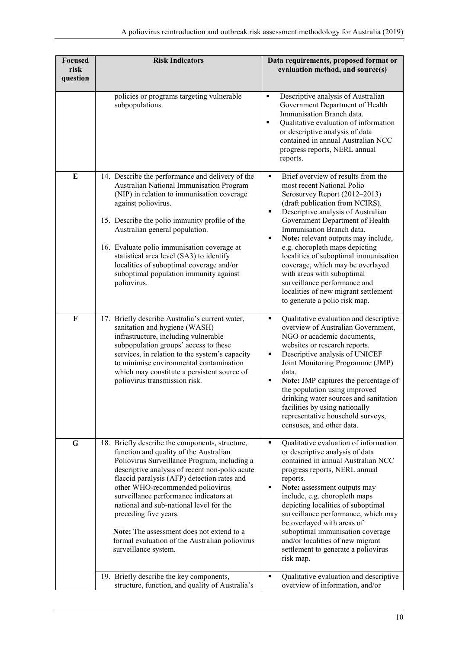| <b>Focused</b><br>risk<br>question | <b>Risk Indicators</b>                                                                                                                                                                                                                                                                                                                                                                                                                                                                                              | Data requirements, proposed format or<br>evaluation method, and source(s)                                                                                                                                                                                                                                                                                                                                                                                                                                                                              |
|------------------------------------|---------------------------------------------------------------------------------------------------------------------------------------------------------------------------------------------------------------------------------------------------------------------------------------------------------------------------------------------------------------------------------------------------------------------------------------------------------------------------------------------------------------------|--------------------------------------------------------------------------------------------------------------------------------------------------------------------------------------------------------------------------------------------------------------------------------------------------------------------------------------------------------------------------------------------------------------------------------------------------------------------------------------------------------------------------------------------------------|
|                                    | policies or programs targeting vulnerable<br>subpopulations.                                                                                                                                                                                                                                                                                                                                                                                                                                                        | Descriptive analysis of Australian<br>$\blacksquare$<br>Government Department of Health<br>Immunisation Branch data.<br>Qualitative evaluation of information<br>٠<br>or descriptive analysis of data<br>contained in annual Australian NCC<br>progress reports, NERL annual<br>reports.                                                                                                                                                                                                                                                               |
| E                                  | 14. Describe the performance and delivery of the<br>Australian National Immunisation Program<br>(NIP) in relation to immunisation coverage<br>against poliovirus.<br>15. Describe the polio immunity profile of the<br>Australian general population.<br>16. Evaluate polio immunisation coverage at<br>statistical area level (SA3) to identify<br>localities of suboptimal coverage and/or<br>suboptimal population immunity against<br>poliovirus.                                                               | Brief overview of results from the<br>٠<br>most recent National Polio<br>Serosurvey Report (2012-2013)<br>(draft publication from NCIRS).<br>Descriptive analysis of Australian<br>٠<br>Government Department of Health<br>Immunisation Branch data.<br>Note: relevant outputs may include,<br>٠<br>e.g. choropleth maps depicting<br>localities of suboptimal immunisation<br>coverage, which may be overlayed<br>with areas with suboptimal<br>surveillance performance and<br>localities of new migrant settlement<br>to generate a polio risk map. |
| F                                  | 17. Briefly describe Australia's current water,<br>sanitation and hygiene (WASH)<br>infrastructure, including vulnerable<br>subpopulation groups' access to these<br>services, in relation to the system's capacity<br>to minimise environmental contamination<br>which may constitute a persistent source of<br>poliovirus transmission risk.                                                                                                                                                                      | Qualitative evaluation and descriptive<br>٠<br>overview of Australian Government,<br>NGO or academic documents,<br>websites or research reports.<br>Descriptive analysis of UNICEF<br>٠<br>Joint Monitoring Programme (JMP)<br>data.<br>Note: JMP captures the percentage of<br>٠<br>the population using improved<br>drinking water sources and sanitation<br>facilities by using nationally<br>representative household surveys,<br>censuses, and other data.                                                                                        |
| G                                  | 18. Briefly describe the components, structure,<br>function and quality of the Australian<br>Poliovirus Surveillance Program, including a<br>descriptive analysis of recent non-polio acute<br>flaccid paralysis (AFP) detection rates and<br>other WHO-recommended poliovirus<br>surveillance performance indicators at<br>national and sub-national level for the<br>preceding five years.<br>Note: The assessment does not extend to a<br>formal evaluation of the Australian poliovirus<br>surveillance system. | $\blacksquare$<br>Qualitative evaluation of information<br>or descriptive analysis of data<br>contained in annual Australian NCC<br>progress reports, NERL annual<br>reports.<br>Note: assessment outputs may<br>٠<br>include, e.g. choropleth maps<br>depicting localities of suboptimal<br>surveillance performance, which may<br>be overlayed with areas of<br>suboptimal immunisation coverage<br>and/or localities of new migrant<br>settlement to generate a poliovirus<br>risk map.<br>٠                                                        |
|                                    | 19. Briefly describe the key components,<br>structure, function, and quality of Australia's                                                                                                                                                                                                                                                                                                                                                                                                                         | Qualitative evaluation and descriptive<br>overview of information, and/or                                                                                                                                                                                                                                                                                                                                                                                                                                                                              |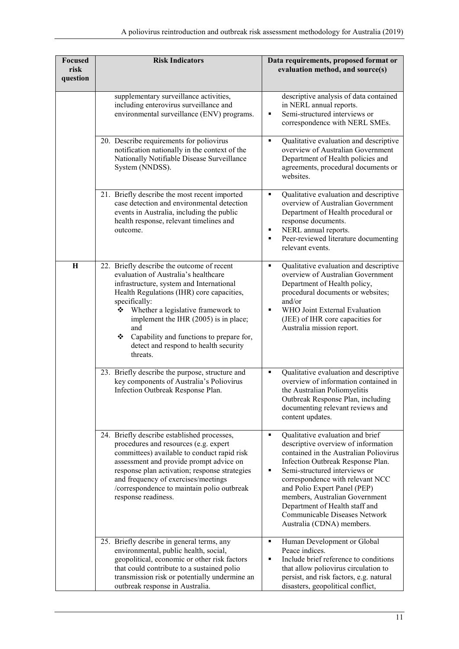| <b>Focused</b><br>risk<br>question | <b>Risk Indicators</b>                                                                                                                                                                                                                                                                                                                                                                     | Data requirements, proposed format or<br>evaluation method, and source(s)                                                                                                                                                                                                                                                                                                                               |
|------------------------------------|--------------------------------------------------------------------------------------------------------------------------------------------------------------------------------------------------------------------------------------------------------------------------------------------------------------------------------------------------------------------------------------------|---------------------------------------------------------------------------------------------------------------------------------------------------------------------------------------------------------------------------------------------------------------------------------------------------------------------------------------------------------------------------------------------------------|
|                                    | supplementary surveillance activities,<br>including enterovirus surveillance and<br>environmental surveillance (ENV) programs.                                                                                                                                                                                                                                                             | descriptive analysis of data contained<br>in NERL annual reports.<br>Semi-structured interviews or<br>٠<br>correspondence with NERL SMEs.                                                                                                                                                                                                                                                               |
|                                    | 20. Describe requirements for poliovirus<br>notification nationally in the context of the<br>Nationally Notifiable Disease Surveillance<br>System (NNDSS).                                                                                                                                                                                                                                 | $\blacksquare$<br>Qualitative evaluation and descriptive<br>overview of Australian Government<br>Department of Health policies and<br>agreements, procedural documents or<br>websites.                                                                                                                                                                                                                  |
|                                    | 21. Briefly describe the most recent imported<br>case detection and environmental detection<br>events in Australia, including the public<br>health response, relevant timelines and<br>outcome.                                                                                                                                                                                            | Qualitative evaluation and descriptive<br>$\blacksquare$<br>overview of Australian Government<br>Department of Health procedural or<br>response documents.<br>NERL annual reports.<br>٠<br>Peer-reviewed literature documenting<br>relevant events.                                                                                                                                                     |
| $\mathbf H$                        | 22. Briefly describe the outcome of recent<br>evaluation of Australia's healthcare<br>infrastructure, system and International<br>Health Regulations (IHR) core capacities,<br>specifically:<br>❖ Whether a legislative framework to<br>implement the IHR (2005) is in place;<br>and<br>Capability and functions to prepare for,<br>❖<br>detect and respond to health security<br>threats. | Qualitative evaluation and descriptive<br>٠<br>overview of Australian Government<br>Department of Health policy,<br>procedural documents or websites;<br>and/or<br>WHO Joint External Evaluation<br>$\blacksquare$<br>(JEE) of IHR core capacities for<br>Australia mission report.                                                                                                                     |
|                                    | 23. Briefly describe the purpose, structure and<br>key components of Australia's Poliovirus<br>Infection Outbreak Response Plan.                                                                                                                                                                                                                                                           | Qualitative evaluation and descriptive<br>٠<br>overview of information contained in<br>the Australian Poliomyelitis<br>Outbreak Response Plan, including<br>documenting relevant reviews and<br>content updates.                                                                                                                                                                                        |
|                                    | 24. Briefly describe established processes,<br>procedures and resources (e.g. expert<br>committees) available to conduct rapid risk<br>assessment and provide prompt advice on<br>response plan activation; response strategies<br>and frequency of exercises/meetings<br>/correspondence to maintain polio outbreak<br>response readiness.                                                | Qualitative evaluation and brief<br>٠<br>descriptive overview of information<br>contained in the Australian Poliovirus<br>Infection Outbreak Response Plan.<br>Semi-structured interviews or<br>٠<br>correspondence with relevant NCC<br>and Polio Expert Panel (PEP)<br>members, Australian Government<br>Department of Health staff and<br>Communicable Diseases Network<br>Australia (CDNA) members. |
|                                    | 25. Briefly describe in general terms, any<br>environmental, public health, social,<br>geopolitical, economic or other risk factors<br>that could contribute to a sustained polio<br>transmission risk or potentially undermine an<br>outbreak response in Australia.                                                                                                                      | Human Development or Global<br>٠<br>Peace indices.<br>Include brief reference to conditions<br>$\blacksquare$<br>that allow poliovirus circulation to<br>persist, and risk factors, e.g. natural<br>disasters, geopolitical conflict,                                                                                                                                                                   |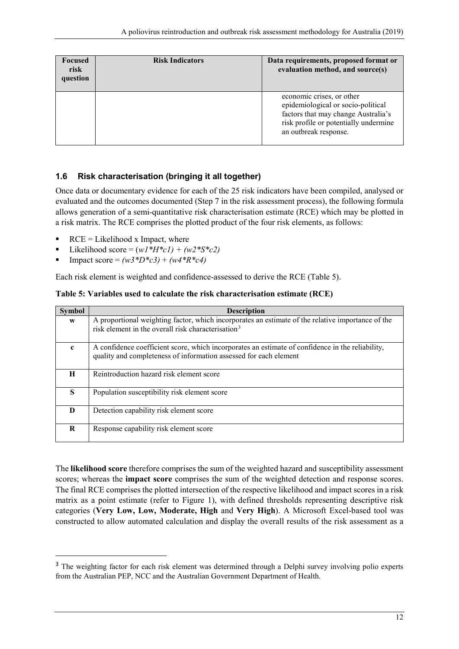| <b>Focused</b><br>risk<br>question | <b>Risk Indicators</b> | Data requirements, proposed format or<br>evaluation method, and source(s)                                                                                                |
|------------------------------------|------------------------|--------------------------------------------------------------------------------------------------------------------------------------------------------------------------|
|                                    |                        | economic crises, or other<br>epidemiological or socio-political<br>factors that may change Australia's<br>risk profile or potentially undermine<br>an outbreak response. |

#### <span id="page-11-0"></span>**1.6 Risk characterisation (bringing it all together)**

Once data or documentary evidence for each of the 25 risk indicators have been compiled, analysed or evaluated and the outcomes documented (Step 7 in the risk assessment process), the following formula allows generation of a semi-quantitative risk characterisation estimate (RCE) which may be plotted in a risk matrix. The RCE comprises the plotted product of the four risk elements, as follows:

- RCE = Likelihood x Impact, where
- Likelihood score =  $(w1*H*c1) + (w2*S*c2)$
- Impact score =  $(w3*D*c3) + (w4*B*c4)$

Each risk element is weighted and confidence-assessed to derive the RCE [\(Table 5\)](#page-11-1).

<span id="page-11-1"></span>

|  |  | Table 5: Variables used to calculate the risk characterisation estimate (RCE) |  |
|--|--|-------------------------------------------------------------------------------|--|
|--|--|-------------------------------------------------------------------------------|--|

| <b>Symbol</b> | <b>Description</b>                                                                                                                                                    |
|---------------|-----------------------------------------------------------------------------------------------------------------------------------------------------------------------|
| W             | A proportional weighting factor, which incorporates an estimate of the relative importance of the<br>risk element in the overall risk characterisation <sup>3</sup>   |
| $\mathbf{c}$  | A confidence coefficient score, which incorporates an estimate of confidence in the reliability,<br>quality and completeness of information assessed for each element |
| H             | Reintroduction hazard risk element score                                                                                                                              |
| S             | Population susceptibility risk element score                                                                                                                          |
| D             | Detection capability risk element score                                                                                                                               |
| R             | Response capability risk element score                                                                                                                                |

The **likelihood score** therefore comprises the sum of the weighted hazard and susceptibility assessment scores; whereas the **impact score** comprises the sum of the weighted detection and response scores. The final RCE comprises the plotted intersection of the respective likelihood and impact scores in a risk matrix as a point estimate (refer to [Figure 1\)](#page-25-0), with defined thresholds representing descriptive risk categories (**Very Low, Low, Moderate, High** and **Very High**). A Microsoft Excel-based tool was constructed to allow automated calculation and display the overall results of the risk assessment as a

<span id="page-11-2"></span><sup>&</sup>lt;sup>3</sup> The weighting factor for each risk element was determined through a Delphi survey involving polio experts from the Australian PEP, NCC and the Australian Government Department of Health.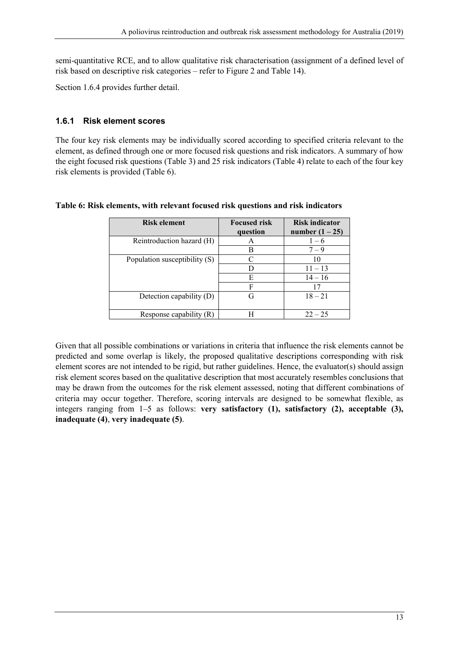semi-quantitative RCE, and to allow qualitative risk characterisation (assignment of a defined level of risk based on descriptive risk categories – refer to [Figure 2](#page-25-1) and [Table 14\)](#page-25-2).

Sectio[n 1.6.4](#page-23-0) provides further detail.

#### <span id="page-12-0"></span>**1.6.1 Risk element scores**

The four key risk elements may be individually scored according to specified criteria relevant to the element, as defined through one or more focused risk questions and risk indicators. A summary of how the eight focused risk questions [\(Table 3\)](#page-6-1) and 25 risk indicators [\(Table 4\)](#page-7-1) relate to each of the four key risk elements is provided [\(Table 6\)](#page-12-1).

| <b>Risk element</b>           | <b>Focused risk</b> | <b>Risk indicator</b> |
|-------------------------------|---------------------|-----------------------|
|                               | question            | number $(1 – 25)$     |
| Reintroduction hazard (H)     | А                   | $1 - 6$               |
|                               | В                   | $7 - 9$               |
| Population susceptibility (S) |                     | 10                    |
|                               | D                   | $11 - 13$             |
|                               | E                   | $14 - 16$             |
|                               | F                   | 17                    |
| Detection capability (D)      | G                   | $18 - 21$             |
|                               |                     |                       |
| Response capability (R)       | н                   | $22 - 25$             |

#### <span id="page-12-1"></span>**Table 6: Risk elements, with relevant focused risk questions and risk indicators**

Given that all possible combinations or variations in criteria that influence the risk elements cannot be predicted and some overlap is likely, the proposed qualitative descriptions corresponding with risk element scores are not intended to be rigid, but rather guidelines. Hence, the evaluator(s) should assign risk element scores based on the qualitative description that most accurately resembles conclusions that may be drawn from the outcomes for the risk element assessed, noting that different combinations of criteria may occur together. Therefore, scoring intervals are designed to be somewhat flexible, as integers ranging from 1–5 as follows: **very satisfactory (1), satisfactory (2), acceptable (3), inadequate (4)**, **very inadequate (5)**.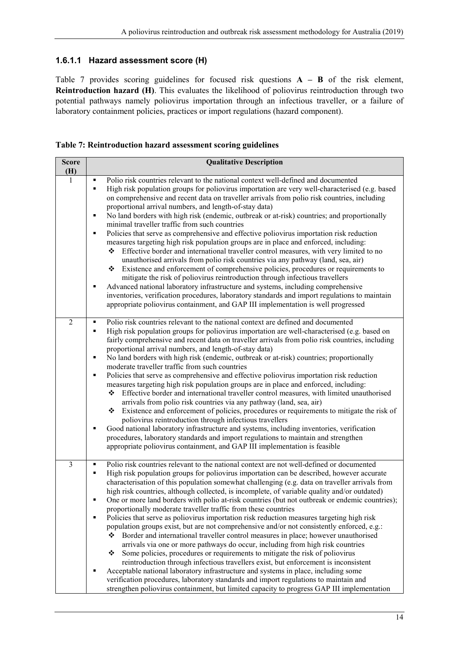#### **1.6.1.1 Hazard assessment score (H)**

[Table 7](#page-13-0) provides scoring guidelines for focused risk questions **A – B** of the risk element, **Reintroduction hazard (H)**. This evaluates the likelihood of poliovirus reintroduction through two potential pathways namely poliovirus importation through an infectious traveller, or a failure of laboratory containment policies, practices or import regulations (hazard component).

<span id="page-13-0"></span>

|  | Table 7: Reintroduction hazard assessment scoring guidelines |  |  |
|--|--------------------------------------------------------------|--|--|
|  |                                                              |  |  |

| <b>Score</b><br>(H) | <b>Qualitative Description</b>                                                                                                                                                                                                                                                                                                                                                                                                                                                                                                                                                                                                                                                                                                                                                                                                                                                                                                                                                                                                                                                                                                                                                                                                                                                                                                                                                                             |
|---------------------|------------------------------------------------------------------------------------------------------------------------------------------------------------------------------------------------------------------------------------------------------------------------------------------------------------------------------------------------------------------------------------------------------------------------------------------------------------------------------------------------------------------------------------------------------------------------------------------------------------------------------------------------------------------------------------------------------------------------------------------------------------------------------------------------------------------------------------------------------------------------------------------------------------------------------------------------------------------------------------------------------------------------------------------------------------------------------------------------------------------------------------------------------------------------------------------------------------------------------------------------------------------------------------------------------------------------------------------------------------------------------------------------------------|
| 1                   | Polio risk countries relevant to the national context well-defined and documented<br>High risk population groups for poliovirus importation are very well-characterised (e.g. based<br>٠<br>on comprehensive and recent data on traveller arrivals from polio risk countries, including<br>proportional arrival numbers, and length-of-stay data)<br>No land borders with high risk (endemic, outbreak or at-risk) countries; and proportionally<br>٠<br>minimal traveller traffic from such countries<br>Policies that serve as comprehensive and effective poliovirus importation risk reduction<br>٠<br>measures targeting high risk population groups are in place and enforced, including:<br>Effective border and international traveller control measures, with very limited to no<br>❖<br>unauthorised arrivals from polio risk countries via any pathway (land, sea, air)<br>Existence and enforcement of comprehensive policies, procedures or requirements to<br>❖<br>mitigate the risk of poliovirus reintroduction through infectious travellers<br>Advanced national laboratory infrastructure and systems, including comprehensive<br>٠<br>inventories, verification procedures, laboratory standards and import regulations to maintain<br>appropriate poliovirus containment, and GAP III implementation is well progressed                                                               |
| $\overline{2}$      | Polio risk countries relevant to the national context are defined and documented<br>٠<br>High risk population groups for poliovirus importation are well-characterised (e.g. based on<br>٠<br>fairly comprehensive and recent data on traveller arrivals from polio risk countries, including<br>proportional arrival numbers, and length-of-stay data)<br>No land borders with high risk (endemic, outbreak or at-risk) countries; proportionally<br>П<br>moderate traveller traffic from such countries<br>Policies that serve as comprehensive and effective poliovirus importation risk reduction<br>٠<br>measures targeting high risk population groups are in place and enforced, including:<br>Effective border and international traveller control measures, with limited unauthorised<br>❖<br>arrivals from polio risk countries via any pathway (land, sea, air)<br>❖<br>Existence and enforcement of policies, procedures or requirements to mitigate the risk of<br>poliovirus reintroduction through infectious travellers<br>Good national laboratory infrastructure and systems, including inventories, verification<br>٠<br>procedures, laboratory standards and import regulations to maintain and strengthen<br>appropriate poliovirus containment, and GAP III implementation is feasible                                                                                               |
| $\overline{3}$      | Polio risk countries relevant to the national context are not well-defined or documented<br>٠<br>High risk population groups for poliovirus importation can be described, however accurate<br>٠<br>characterisation of this population somewhat challenging (e.g. data on traveller arrivals from<br>high risk countries, although collected, is incomplete, of variable quality and/or outdated)<br>One or more land borders with polio at-risk countries (but not outbreak or endemic countries);<br>proportionally moderate traveller traffic from these countries<br>Policies that serve as poliovirus importation risk reduction measures targeting high risk<br>٠<br>population groups exist, but are not comprehensive and/or not consistently enforced, e.g.:<br>Border and international traveller control measures in place; however unauthorised<br>❖<br>arrivals via one or more pathways do occur, including from high risk countries<br>Some policies, procedures or requirements to mitigate the risk of poliovirus<br>❖<br>reintroduction through infectious travellers exist, but enforcement is inconsistent<br>Acceptable national laboratory infrastructure and systems in place, including some<br>verification procedures, laboratory standards and import regulations to maintain and<br>strengthen poliovirus containment, but limited capacity to progress GAP III implementation |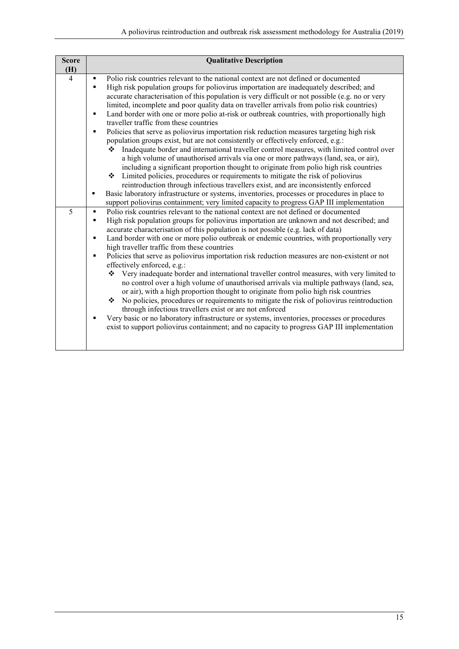| <b>Score</b>   | <b>Qualitative Description</b>                                                                                  |
|----------------|-----------------------------------------------------------------------------------------------------------------|
| (H)            |                                                                                                                 |
| $\overline{4}$ | Polio risk countries relevant to the national context are not defined or documented<br>٠                        |
|                | High risk population groups for poliovirus importation are inadequately described; and<br>$\blacksquare$        |
|                | accurate characterisation of this population is very difficult or not possible (e.g. no or very                 |
|                | limited, incomplete and poor quality data on traveller arrivals from polio risk countries)                      |
|                | Land border with one or more polio at-risk or outbreak countries, with proportionally high<br>$\blacksquare$    |
|                | traveller traffic from these countries                                                                          |
|                | Policies that serve as poliovirus importation risk reduction measures targeting high risk<br>٠                  |
|                | population groups exist, but are not consistently or effectively enforced, e.g.:                                |
|                | Inadequate border and international traveller control measures, with limited control over<br>❖                  |
|                | a high volume of unauthorised arrivals via one or more pathways (land, sea, or air),                            |
|                | including a significant proportion thought to originate from polio high risk countries                          |
|                | Limited policies, procedures or requirements to mitigate the risk of poliovirus<br>❖                            |
|                | reintroduction through infectious travellers exist, and are inconsistently enforced                             |
|                | Basic laboratory infrastructure or systems, inventories, processes or procedures in place to<br>٠               |
|                | support poliovirus containment; very limited capacity to progress GAP III implementation                        |
| 5              | Polio risk countries relevant to the national context are not defined or documented<br>$\blacksquare$           |
|                | High risk population groups for poliovirus importation are unknown and not described; and<br>٠                  |
|                | accurate characterisation of this population is not possible (e.g. lack of data)                                |
|                | Land border with one or more polio outbreak or endemic countries, with proportionally very<br>$\blacksquare$    |
|                | high traveller traffic from these countries                                                                     |
|                | Policies that serve as poliovirus importation risk reduction measures are non-existent or not<br>$\blacksquare$ |
|                | effectively enforced, e.g.:                                                                                     |
|                | Very inadequate border and international traveller control measures, with very limited to<br>❖                  |
|                | no control over a high volume of unauthorised arrivals via multiple pathways (land, sea,                        |
|                | or air), with a high proportion thought to originate from polio high risk countries                             |
|                | No policies, procedures or requirements to mitigate the risk of poliovirus reintroduction<br>❖                  |
|                | through infectious travellers exist or are not enforced                                                         |
|                | Very basic or no laboratory infrastructure or systems, inventories, processes or procedures<br>٠                |
|                | exist to support poliovirus containment; and no capacity to progress GAP III implementation                     |
|                |                                                                                                                 |
|                |                                                                                                                 |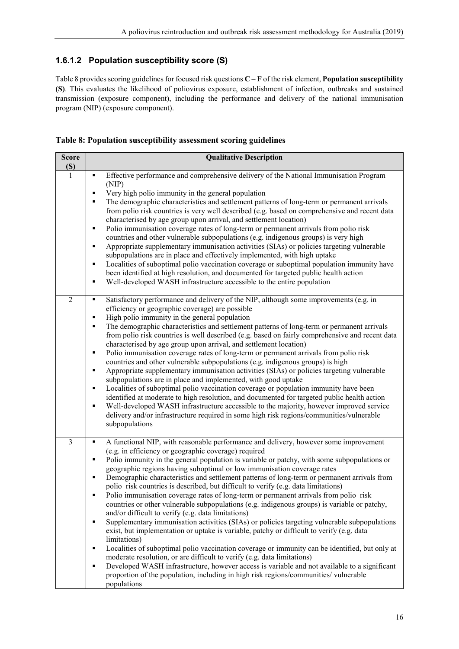#### **1.6.1.2 Population susceptibility score (S)**

[Table 8](#page-15-0) provides scoring guidelines for focused risk questions **C – F** of the risk element, **Population susceptibility (S)**. This evaluates the likelihood of poliovirus exposure, establishment of infection, outbreaks and sustained transmission (exposure component), including the performance and delivery of the national immunisation program (NIP) (exposure component).

<span id="page-15-0"></span>

|  | Table 8: Population susceptibility assessment scoring guidelines |  |  |
|--|------------------------------------------------------------------|--|--|
|  |                                                                  |  |  |

| <b>Score</b><br>(S) | <b>Qualitative Description</b>                                                                                                                                                                                                                                                                                                                                                                                                                                                                                                                                                                                                                                                                                                                                                                                                                                                                                                                                                                                                                                                                                                                                                                                                                                                                                                                                                           |
|---------------------|------------------------------------------------------------------------------------------------------------------------------------------------------------------------------------------------------------------------------------------------------------------------------------------------------------------------------------------------------------------------------------------------------------------------------------------------------------------------------------------------------------------------------------------------------------------------------------------------------------------------------------------------------------------------------------------------------------------------------------------------------------------------------------------------------------------------------------------------------------------------------------------------------------------------------------------------------------------------------------------------------------------------------------------------------------------------------------------------------------------------------------------------------------------------------------------------------------------------------------------------------------------------------------------------------------------------------------------------------------------------------------------|
| 1                   | Effective performance and comprehensive delivery of the National Immunisation Program<br>٠<br>(NIP)<br>Very high polio immunity in the general population<br>٠<br>The demographic characteristics and settlement patterns of long-term or permanent arrivals<br>٠<br>from polio risk countries is very well described (e.g. based on comprehensive and recent data<br>characterised by age group upon arrival, and settlement location)<br>Polio immunisation coverage rates of long-term or permanent arrivals from polio risk<br>٠<br>countries and other vulnerable subpopulations (e.g. indigenous groups) is very high<br>Appropriate supplementary immunisation activities (SIAs) or policies targeting vulnerable<br>٠<br>subpopulations are in place and effectively implemented, with high uptake<br>Localities of suboptimal polio vaccination coverage or suboptimal population immunity have<br>٠<br>been identified at high resolution, and documented for targeted public health action<br>Well-developed WASH infrastructure accessible to the entire population<br>٠                                                                                                                                                                                                                                                                                                     |
| $\overline{2}$      | Satisfactory performance and delivery of the NIP, although some improvements (e.g. in<br>٠<br>efficiency or geographic coverage) are possible<br>High polio immunity in the general population<br>٠<br>The demographic characteristics and settlement patterns of long-term or permanent arrivals<br>٠<br>from polio risk countries is well described (e.g. based on fairly comprehensive and recent data<br>characterised by age group upon arrival, and settlement location)<br>Polio immunisation coverage rates of long-term or permanent arrivals from polio risk<br>٠<br>countries and other vulnerable subpopulations (e.g. indigenous groups) is high<br>Appropriate supplementary immunisation activities (SIAs) or policies targeting vulnerable<br>٠<br>subpopulations are in place and implemented, with good uptake<br>Localities of suboptimal polio vaccination coverage or population immunity have been<br>٠<br>identified at moderate to high resolution, and documented for targeted public health action<br>Well-developed WASH infrastructure accessible to the majority, however improved service<br>٠<br>delivery and/or infrastructure required in some high risk regions/communities/vulnerable<br>subpopulations                                                                                                                                               |
| $\overline{3}$      | A functional NIP, with reasonable performance and delivery, however some improvement<br>٠<br>(e.g. in efficiency or geographic coverage) required<br>Polio immunity in the general population is variable or patchy, with some subpopulations or<br>٠<br>geographic regions having suboptimal or low immunisation coverage rates<br>Demographic characteristics and settlement patterns of long-term or permanent arrivals from<br>٠<br>polio risk countries is described, but difficult to verify (e.g. data limitations)<br>Polio immunisation coverage rates of long-term or permanent arrivals from polio risk<br>countries or other vulnerable subpopulations (e.g. indigenous groups) is variable or patchy,<br>and/or difficult to verify (e.g. data limitations)<br>Supplementary immunisation activities (SIAs) or policies targeting vulnerable subpopulations<br>٠<br>exist, but implementation or uptake is variable, patchy or difficult to verify (e.g. data<br>limitations)<br>Localities of suboptimal polio vaccination coverage or immunity can be identified, but only at<br>٠<br>moderate resolution, or are difficult to verify (e.g. data limitations)<br>Developed WASH infrastructure, however access is variable and not available to a significant<br>٠<br>proportion of the population, including in high risk regions/communities/ vulnerable<br>populations |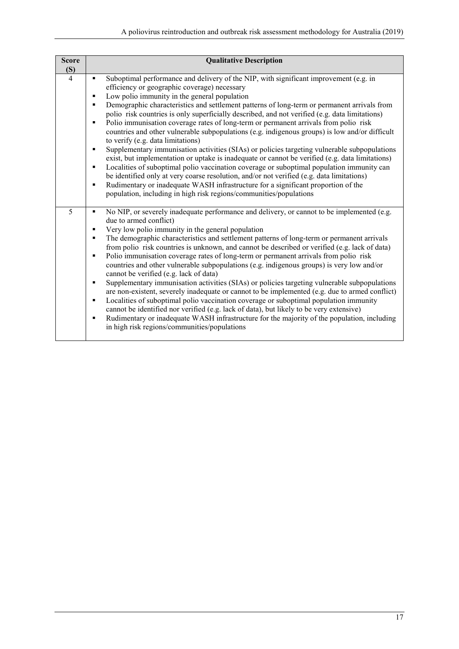| <b>Score</b>   | <b>Qualitative Description</b>                                                                                                                                                                                                                                                                                                                                                                                                                                                                                                                                                                                                                                                                                                                                                                                                                                                                                                                                                                                                                                                                                                                                                                                   |  |  |  |  |
|----------------|------------------------------------------------------------------------------------------------------------------------------------------------------------------------------------------------------------------------------------------------------------------------------------------------------------------------------------------------------------------------------------------------------------------------------------------------------------------------------------------------------------------------------------------------------------------------------------------------------------------------------------------------------------------------------------------------------------------------------------------------------------------------------------------------------------------------------------------------------------------------------------------------------------------------------------------------------------------------------------------------------------------------------------------------------------------------------------------------------------------------------------------------------------------------------------------------------------------|--|--|--|--|
| (S)            |                                                                                                                                                                                                                                                                                                                                                                                                                                                                                                                                                                                                                                                                                                                                                                                                                                                                                                                                                                                                                                                                                                                                                                                                                  |  |  |  |  |
| $\overline{4}$ | Suboptimal performance and delivery of the NIP, with significant improvement (e.g. in<br>٠<br>efficiency or geographic coverage) necessary<br>Low polio immunity in the general population<br>٠<br>Demographic characteristics and settlement patterns of long-term or permanent arrivals from<br>٠<br>polio risk countries is only superficially described, and not verified (e.g. data limitations)<br>Polio immunisation coverage rates of long-term or permanent arrivals from polio risk<br>٠<br>countries and other vulnerable subpopulations (e.g. indigenous groups) is low and/or difficult<br>to verify (e.g. data limitations)<br>Supplementary immunisation activities (SIAs) or policies targeting vulnerable subpopulations<br>٠<br>exist, but implementation or uptake is inadequate or cannot be verified (e.g. data limitations)<br>Localities of suboptimal polio vaccination coverage or suboptimal population immunity can<br>٠<br>be identified only at very coarse resolution, and/or not verified (e.g. data limitations)<br>Rudimentary or inadequate WASH infrastructure for a significant proportion of the<br>٠<br>population, including in high risk regions/communities/populations |  |  |  |  |
| 5              | No NIP, or severely inadequate performance and delivery, or cannot to be implemented (e.g.<br>٠<br>due to armed conflict)<br>Very low polio immunity in the general population<br>٠<br>The demographic characteristics and settlement patterns of long-term or permanent arrivals<br>٠<br>from polio risk countries is unknown, and cannot be described or verified (e.g. lack of data)<br>Polio immunisation coverage rates of long-term or permanent arrivals from polio risk<br>٠<br>countries and other vulnerable subpopulations (e.g. indigenous groups) is very low and/or<br>cannot be verified (e.g. lack of data)<br>Supplementary immunisation activities (SIAs) or policies targeting vulnerable subpopulations<br>٠<br>are non-existent, severely inadequate or cannot to be implemented (e.g. due to armed conflict)<br>Localities of suboptimal polio vaccination coverage or suboptimal population immunity<br>٠<br>cannot be identified nor verified (e.g. lack of data), but likely to be very extensive)<br>Rudimentary or inadequate WASH infrastructure for the majority of the population, including<br>٠<br>in high risk regions/communities/populations                                  |  |  |  |  |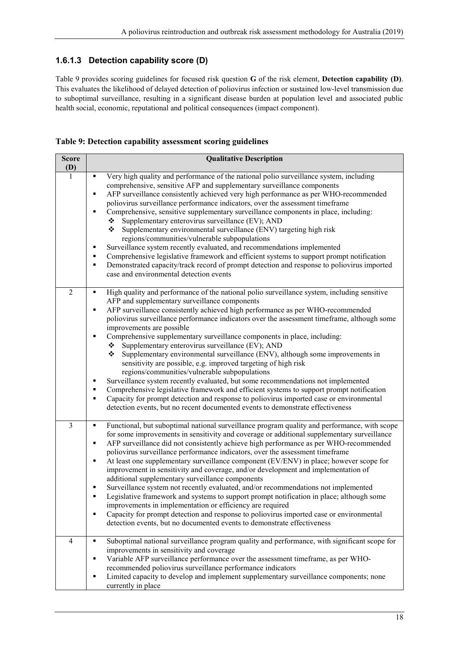#### **1.6.1.3 Detection capability score (D)**

[Table 9](#page-17-0) provides scoring guidelines for focused risk question **G** of the risk element, **Detection capability (D)**. This evaluates the likelihood of delayed detection of poliovirus infection or sustained low-level transmission due to suboptimal surveillance, resulting in a significant disease burden at population level and associated public health social, economic, reputational and political consequences (impact component).

<span id="page-17-0"></span>

|  | Table 9: Detection capability assessment scoring guidelines |  |
|--|-------------------------------------------------------------|--|
|  |                                                             |  |

| <b>Score</b><br>(D) | <b>Qualitative Description</b>                                                                                                                                                                                                                                                                                                                                                                                                                                                                                                                                                                                                                                                                                                                                                                                                                                                                                                                                                                                                                                                                      |
|---------------------|-----------------------------------------------------------------------------------------------------------------------------------------------------------------------------------------------------------------------------------------------------------------------------------------------------------------------------------------------------------------------------------------------------------------------------------------------------------------------------------------------------------------------------------------------------------------------------------------------------------------------------------------------------------------------------------------------------------------------------------------------------------------------------------------------------------------------------------------------------------------------------------------------------------------------------------------------------------------------------------------------------------------------------------------------------------------------------------------------------|
| $\overline{1}$      | Very high quality and performance of the national polio surveillance system, including<br>٠<br>comprehensive, sensitive AFP and supplementary surveillance components<br>AFP surveillance consistently achieved very high performance as per WHO-recommended<br>٠<br>poliovirus surveillance performance indicators, over the assessment timeframe<br>Comprehensive, sensitive supplementary surveillance components in place, including:<br>٠<br>Supplementary enterovirus surveillance (EV); AND<br>❖<br>Supplementary environmental surveillance (ENV) targeting high risk<br>❖<br>regions/communities/vulnerable subpopulations<br>Surveillance system recently evaluated, and recommendations implemented<br>٠<br>Comprehensive legislative framework and efficient systems to support prompt notification<br>٠<br>Demonstrated capacity/track record of prompt detection and response to poliovirus imported<br>٠<br>case and environmental detection events                                                                                                                                  |
| $\overline{2}$      | High quality and performance of the national polio surveillance system, including sensitive<br>٠<br>AFP and supplementary surveillance components<br>AFP surveillance consistently achieved high performance as per WHO-recommended<br>٠<br>poliovirus surveillance performance indicators over the assessment timeframe, although some<br>improvements are possible<br>Comprehensive supplementary surveillance components in place, including:<br>٠<br>Supplementary enterovirus surveillance (EV); AND<br>❖<br>Supplementary environmental surveillance (ENV), although some improvements in<br>❖<br>sensitivity are possible, e.g. improved targeting of high risk<br>regions/communities/vulnerable subpopulations<br>Surveillance system recently evaluated, but some recommendations not implemented<br>٠<br>Comprehensive legislative framework and efficient systems to support prompt notification<br>٠<br>Capacity for prompt detection and response to poliovirus imported case or environmental<br>٠<br>detection events, but no recent documented events to demonstrate effectiveness |
| 3                   | Functional, but suboptimal national surveillance program quality and performance, with scope<br>٠<br>for some improvements in sensitivity and coverage or additional supplementary surveillance<br>AFP surveillance did not consistently achieve high performance as per WHO-recommended<br>٠<br>poliovirus surveillance performance indicators, over the assessment timeframe<br>At least one supplementary surveillance component (EV/ENV) in place; however scope for<br>٠<br>improvement in sensitivity and coverage, and/or development and implementation of<br>additional supplementary surveillance components<br>Surveillance system not recently evaluated, and/or recommendations not implemented<br>Legislative framework and systems to support prompt notification in place; although some<br>improvements in implementation or efficiency are required<br>Capacity for prompt detection and response to poliovirus imported case or environmental<br>٠<br>detection events, but no documented events to demonstrate effectiveness                                                    |
| $\overline{4}$      | Suboptimal national surveillance program quality and performance, with significant scope for<br>٠<br>improvements in sensitivity and coverage<br>Variable AFP surveillance performance over the assessment timeframe, as per WHO-<br>٠<br>recommended poliovirus surveillance performance indicators<br>Limited capacity to develop and implement supplementary surveillance components; none<br>٠<br>currently in place                                                                                                                                                                                                                                                                                                                                                                                                                                                                                                                                                                                                                                                                            |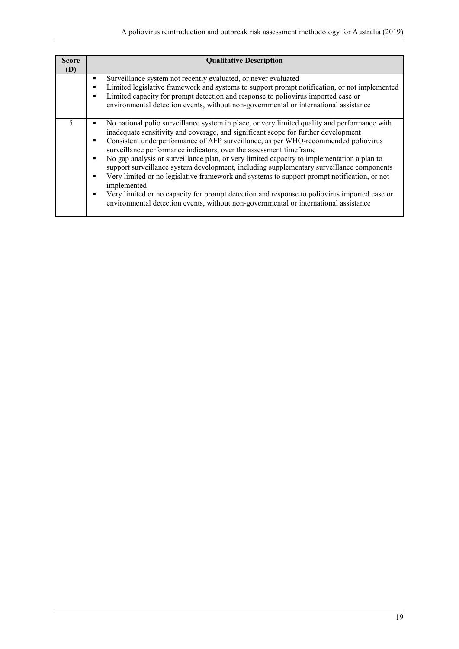| <b>Score</b><br>(D) | <b>Qualitative Description</b>                                                                                                                                                                                                                                                                                                                                                                                                                                                                                                                                                                                                                                                                                                                                                                                                                                                  |
|---------------------|---------------------------------------------------------------------------------------------------------------------------------------------------------------------------------------------------------------------------------------------------------------------------------------------------------------------------------------------------------------------------------------------------------------------------------------------------------------------------------------------------------------------------------------------------------------------------------------------------------------------------------------------------------------------------------------------------------------------------------------------------------------------------------------------------------------------------------------------------------------------------------|
|                     | Surveillance system not recently evaluated, or never evaluated<br>٠<br>Limited legislative framework and systems to support prompt notification, or not implemented<br>п<br>Limited capacity for prompt detection and response to poliovirus imported case or<br>п<br>environmental detection events, without non-governmental or international assistance                                                                                                                                                                                                                                                                                                                                                                                                                                                                                                                      |
| $\varsigma$         | No national polio surveillance system in place, or very limited quality and performance with<br>inadequate sensitivity and coverage, and significant scope for further development<br>Consistent underperformance of AFP surveillance, as per WHO-recommended poliovirus<br>٠<br>surveillance performance indicators, over the assessment timeframe<br>No gap analysis or surveillance plan, or very limited capacity to implementation a plan to<br>٠<br>support surveillance system development, including supplementary surveillance components<br>Very limited or no legislative framework and systems to support prompt notification, or not<br>$\blacksquare$<br>implemented<br>Very limited or no capacity for prompt detection and response to poliovirus imported case or<br>٠<br>environmental detection events, without non-governmental or international assistance |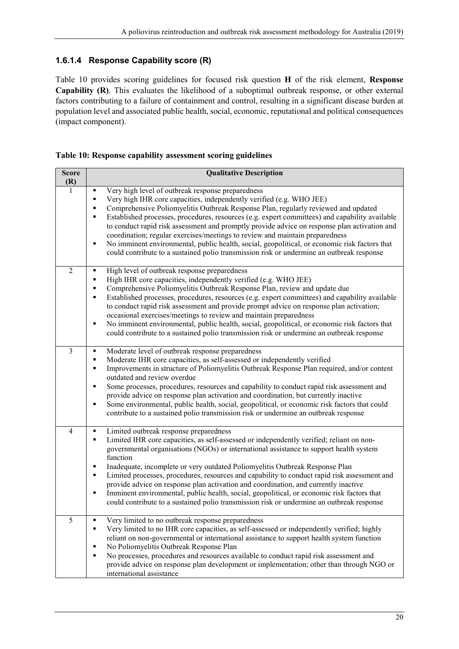## **1.6.1.4 Response Capability score (R)**

[Table 10](#page-19-0) provides scoring guidelines for focused risk question **H** of the risk element, **Response Capability (R)**. This evaluates the likelihood of a suboptimal outbreak response, or other external factors contributing to a failure of containment and control, resulting in a significant disease burden at population level and associated public health, social, economic, reputational and political consequences (impact component).

#### <span id="page-19-0"></span>**Table 10: Response capability assessment scoring guidelines**

| <b>Score</b><br>(R) | <b>Qualitative Description</b>                                                                                                                                                                                                                                                                                                                                                                                                                                                                                                                                                                                                                                                                                                      |
|---------------------|-------------------------------------------------------------------------------------------------------------------------------------------------------------------------------------------------------------------------------------------------------------------------------------------------------------------------------------------------------------------------------------------------------------------------------------------------------------------------------------------------------------------------------------------------------------------------------------------------------------------------------------------------------------------------------------------------------------------------------------|
| 1                   | Very high level of outbreak response preparedness<br>٠<br>Very high IHR core capacities, independently verified (e.g. WHO JEE)<br>٠<br>Comprehensive Poliomyelitis Outbreak Response Plan, regularly reviewed and updated<br>٠<br>Established processes, procedures, resources (e.g. expert committees) and capability available<br>٠<br>to conduct rapid risk assessment and promptly provide advice on response plan activation and<br>coordination; regular exercises/meetings to review and maintain preparedness<br>No imminent environmental, public health, social, geopolitical, or economic risk factors that<br>٠<br>could contribute to a sustained polio transmission risk or undermine an outbreak response            |
| $\overline{2}$      | High level of outbreak response preparedness<br>٠<br>High IHR core capacities, independently verified (e.g. WHO JEE)<br>٠<br>Comprehensive Poliomyelitis Outbreak Response Plan, review and update due<br>٠<br>Established processes, procedures, resources (e.g. expert committees) and capability available<br>٠<br>to conduct rapid risk assessment and provide prompt advice on response plan activation;<br>occasional exercises/meetings to review and maintain preparedness<br>No imminent environmental, public health, social, geopolitical, or economic risk factors that<br>٠<br>could contribute to a sustained polio transmission risk or undermine an outbreak response                                               |
| 3                   | Moderate level of outbreak response preparedness<br>٠<br>Moderate IHR core capacities, as self-assessed or independently verified<br>٠<br>Improvements in structure of Poliomyelitis Outbreak Response Plan required, and/or content<br>٠<br>outdated and review overdue<br>Some processes, procedures, resources and capability to conduct rapid risk assessment and<br>٠<br>provide advice on response plan activation and coordination, but currently inactive<br>Some environmental, public health, social, geopolitical, or economic risk factors that could<br>٠<br>contribute to a sustained polio transmission risk or undermine an outbreak response                                                                       |
| $\overline{4}$      | Limited outbreak response preparedness<br>٠<br>Limited IHR core capacities, as self-assessed or independently verified; reliant on non-<br>٠<br>governmental organisations (NGOs) or international assistance to support health system<br>function<br>Inadequate, incomplete or very outdated Poliomyelitis Outbreak Response Plan<br>٠<br>Limited processes, procedures, resources and capability to conduct rapid risk assessment and<br>٠<br>provide advice on response plan activation and coordination, and currently inactive<br>Imminent environmental, public health, social, geopolitical, or economic risk factors that<br>٠<br>could contribute to a sustained polio transmission risk or undermine an outbreak response |
| 5                   | Very limited to no outbreak response preparedness<br>٠<br>Very limited to no IHR core capacities, as self-assessed or independently verified; highly<br>٠<br>reliant on non-governmental or international assistance to support health system function<br>No Poliomyelitis Outbreak Response Plan<br>٠<br>No processes, procedures and resources available to conduct rapid risk assessment and<br>٠<br>provide advice on response plan development or implementation; other than through NGO or<br>international assistance                                                                                                                                                                                                        |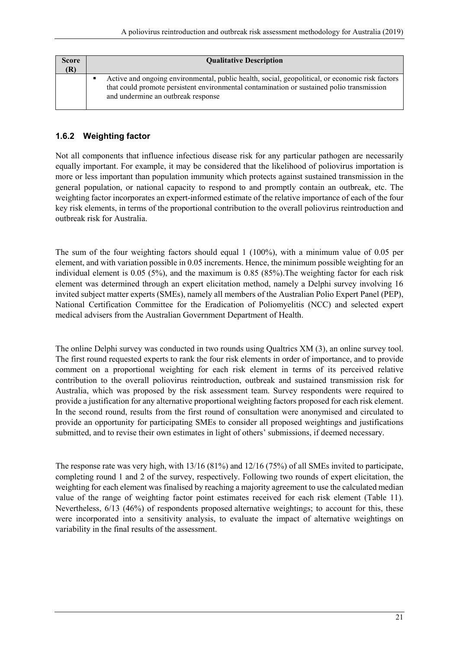| <b>Score</b> | <b>Oualitative Description</b>                                                                                                                                                                                                     |
|--------------|------------------------------------------------------------------------------------------------------------------------------------------------------------------------------------------------------------------------------------|
|              | Active and ongoing environmental, public health, social, geopolitical, or economic risk factors<br>that could promote persistent environmental contamination or sustained polio transmission<br>and undermine an outbreak response |

## <span id="page-20-0"></span>**1.6.2 Weighting factor**

Not all components that influence infectious disease risk for any particular pathogen are necessarily equally important. For example, it may be considered that the likelihood of poliovirus importation is more or less important than population immunity which protects against sustained transmission in the general population, or national capacity to respond to and promptly contain an outbreak, etc. The weighting factor incorporates an expert-informed estimate of the relative importance of each of the four key risk elements, in terms of the proportional contribution to the overall poliovirus reintroduction and outbreak risk for Australia.

The sum of the four weighting factors should equal 1 (100%), with a minimum value of 0.05 per element, and with variation possible in 0.05 increments. Hence, the minimum possible weighting for an individual element is 0.05 (5%), and the maximum is 0.85 (85%).The weighting factor for each risk element was determined through an expert elicitation method, namely a Delphi survey involving 16 invited subject matter experts (SMEs), namely all members of the Australian Polio Expert Panel (PEP), National Certification Committee for the Eradication of Poliomyelitis (NCC) and selected expert medical advisers from the Australian Government Department of Health.

The online Delphi survey was conducted in two rounds using Qualtrics XM (3), an online survey tool. The first round requested experts to rank the four risk elements in order of importance, and to provide comment on a proportional weighting for each risk element in terms of its perceived relative contribution to the overall poliovirus reintroduction, outbreak and sustained transmission risk for Australia, which was proposed by the risk assessment team. Survey respondents were required to provide a justification for any alternative proportional weighting factors proposed for each risk element. In the second round, results from the first round of consultation were anonymised and circulated to provide an opportunity for participating SMEs to consider all proposed weightings and justifications submitted, and to revise their own estimates in light of others' submissions, if deemed necessary.

The response rate was very high, with 13/16 (81%) and 12/16 (75%) of all SMEs invited to participate, completing round 1 and 2 of the survey, respectively. Following two rounds of expert elicitation, the weighting for each element was finalised by reaching a majority agreement to use the calculated median value of the range of weighting factor point estimates received for each risk element [\(Table 11\)](#page-21-1). Nevertheless, 6/13 (46%) of respondents proposed alternative weightings; to account for this, these were incorporated into a sensitivity analysis, to evaluate the impact of alternative weightings on variability in the final results of the assessment.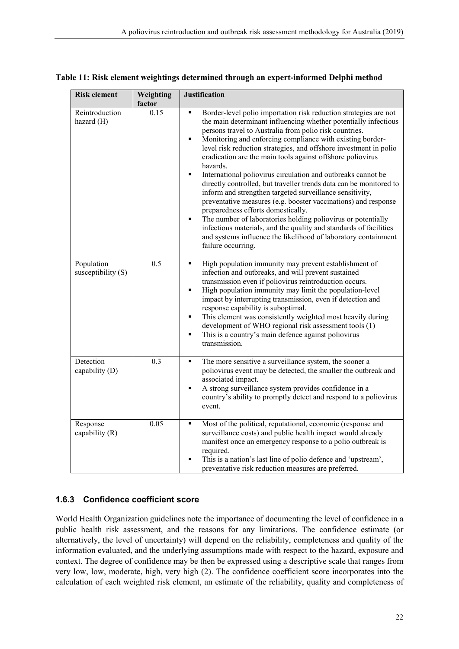| <b>Risk element</b>              | Weighting | <b>Justification</b>                                                                                                                                                                                                                                                                                                                                                                                                                                                                                                                                                                                                                                                                                                                                                                                                                                                                                                                                                 |
|----------------------------------|-----------|----------------------------------------------------------------------------------------------------------------------------------------------------------------------------------------------------------------------------------------------------------------------------------------------------------------------------------------------------------------------------------------------------------------------------------------------------------------------------------------------------------------------------------------------------------------------------------------------------------------------------------------------------------------------------------------------------------------------------------------------------------------------------------------------------------------------------------------------------------------------------------------------------------------------------------------------------------------------|
|                                  | factor    |                                                                                                                                                                                                                                                                                                                                                                                                                                                                                                                                                                                                                                                                                                                                                                                                                                                                                                                                                                      |
| Reintroduction<br>hazard (H)     | 0.15      | Border-level polio importation risk reduction strategies are not<br>٠<br>the main determinant influencing whether potentially infectious<br>persons travel to Australia from polio risk countries.<br>Monitoring and enforcing compliance with existing border-<br>٠<br>level risk reduction strategies, and offshore investment in polio<br>eradication are the main tools against offshore poliovirus<br>hazards.<br>International poliovirus circulation and outbreaks cannot be<br>٠<br>directly controlled, but traveller trends data can be monitored to<br>inform and strengthen targeted surveillance sensitivity,<br>preventative measures (e.g. booster vaccinations) and response<br>preparedness efforts domestically.<br>The number of laboratories holding poliovirus or potentially<br>٠<br>infectious materials, and the quality and standards of facilities<br>and systems influence the likelihood of laboratory containment<br>failure occurring. |
| Population<br>susceptibility (S) | 0.5       | High population immunity may prevent establishment of<br>infection and outbreaks, and will prevent sustained<br>transmission even if poliovirus reintroduction occurs.<br>High population immunity may limit the population-level<br>٠<br>impact by interrupting transmission, even if detection and<br>response capability is suboptimal.<br>This element was consistently weighted most heavily during<br>٠<br>development of WHO regional risk assessment tools (1)<br>This is a country's main defence against poliovirus<br>٠<br>transmission.                                                                                                                                                                                                                                                                                                                                                                                                                  |
| Detection<br>capability (D)      | 0.3       | The more sensitive a surveillance system, the sooner a<br>٠<br>poliovirus event may be detected, the smaller the outbreak and<br>associated impact.<br>A strong surveillance system provides confidence in a<br>٠<br>country's ability to promptly detect and respond to a poliovirus<br>event.                                                                                                                                                                                                                                                                                                                                                                                                                                                                                                                                                                                                                                                                      |
| Response<br>capability (R)       | 0.05      | Most of the political, reputational, economic (response and<br>٠<br>surveillance costs) and public health impact would already<br>manifest once an emergency response to a polio outbreak is<br>required.<br>This is a nation's last line of polio defence and 'upstream',<br>٠<br>preventative risk reduction measures are preferred.                                                                                                                                                                                                                                                                                                                                                                                                                                                                                                                                                                                                                               |

<span id="page-21-1"></span>

| Table 11: Risk element weightings determined through an expert-informed Delphi method |  |  |
|---------------------------------------------------------------------------------------|--|--|
|---------------------------------------------------------------------------------------|--|--|

#### <span id="page-21-0"></span>**1.6.3 Confidence coefficient score**

World Health Organization guidelines note the importance of documenting the level of confidence in a public health risk assessment, and the reasons for any limitations. The confidence estimate (or alternatively, the level of uncertainty) will depend on the reliability, completeness and quality of the information evaluated, and the underlying assumptions made with respect to the hazard, exposure and context. The degree of confidence may be then be expressed using a descriptive scale that ranges from very low, low, moderate, high, very high (2). The confidence coefficient score incorporates into the calculation of each weighted risk element, an estimate of the reliability, quality and completeness of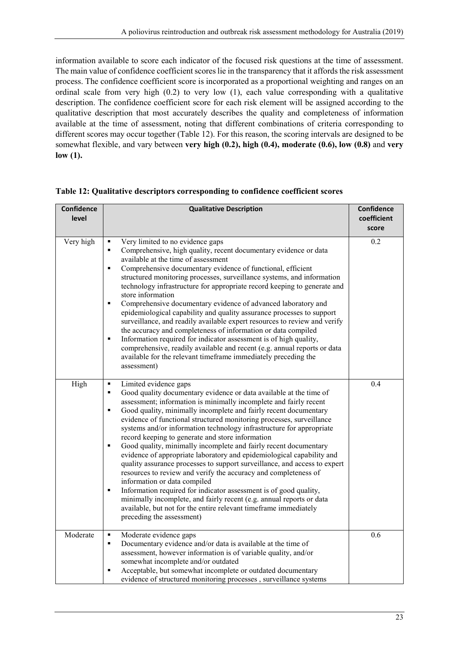information available to score each indicator of the focused risk questions at the time of assessment. The main value of confidence coefficient scores lie in the transparency that it affords the risk assessment process. The confidence coefficient score is incorporated as a proportional weighting and ranges on an ordinal scale from very high (0.2) to very low (1), each value corresponding with a qualitative description. The confidence coefficient score for each risk element will be assigned according to the qualitative description that most accurately describes the quality and completeness of information available at the time of assessment, noting that different combinations of criteria corresponding to different scores may occur together [\(Table 12\)](#page-22-0). For this reason, the scoring intervals are designed to be somewhat flexible, and vary between **very high (0.2), high (0.4), moderate (0.6), low (0.8)** and **very low (1).**

| <b>Confidence</b> | <b>Qualitative Description</b>                                                                                                                                                                                                                                                                                                                                                                                                                                                                                                                                                                                                                                                                                                                                                                                                                                                                                                                                                                                                                                                      | Confidence  |
|-------------------|-------------------------------------------------------------------------------------------------------------------------------------------------------------------------------------------------------------------------------------------------------------------------------------------------------------------------------------------------------------------------------------------------------------------------------------------------------------------------------------------------------------------------------------------------------------------------------------------------------------------------------------------------------------------------------------------------------------------------------------------------------------------------------------------------------------------------------------------------------------------------------------------------------------------------------------------------------------------------------------------------------------------------------------------------------------------------------------|-------------|
| level             |                                                                                                                                                                                                                                                                                                                                                                                                                                                                                                                                                                                                                                                                                                                                                                                                                                                                                                                                                                                                                                                                                     | coefficient |
|                   |                                                                                                                                                                                                                                                                                                                                                                                                                                                                                                                                                                                                                                                                                                                                                                                                                                                                                                                                                                                                                                                                                     | score       |
| Very high         | Very limited to no evidence gaps<br>٠<br>Comprehensive, high quality, recent documentary evidence or data<br>$\blacksquare$<br>available at the time of assessment<br>Comprehensive documentary evidence of functional, efficient<br>$\blacksquare$<br>structured monitoring processes, surveillance systems, and information<br>technology infrastructure for appropriate record keeping to generate and<br>store information<br>Comprehensive documentary evidence of advanced laboratory and<br>٠<br>epidemiological capability and quality assurance processes to support<br>surveillance, and readily available expert resources to review and verify<br>the accuracy and completeness of information or data compiled<br>Information required for indicator assessment is of high quality,<br>$\blacksquare$<br>comprehensive, readily available and recent (e.g. annual reports or data<br>available for the relevant timeframe immediately preceding the<br>assessment)                                                                                                     | 0.2         |
| High              | Limited evidence gaps<br>$\blacksquare$<br>Good quality documentary evidence or data available at the time of<br>٠<br>assessment; information is minimally incomplete and fairly recent<br>Good quality, minimally incomplete and fairly recent documentary<br>П<br>evidence of functional structured monitoring processes, surveillance<br>systems and/or information technology infrastructure for appropriate<br>record keeping to generate and store information<br>Good quality, minimally incomplete and fairly recent documentary<br>$\blacksquare$<br>evidence of appropriate laboratory and epidemiological capability and<br>quality assurance processes to support surveillance, and access to expert<br>resources to review and verify the accuracy and completeness of<br>information or data compiled<br>$\blacksquare$<br>Information required for indicator assessment is of good quality,<br>minimally incomplete, and fairly recent (e.g. annual reports or data<br>available, but not for the entire relevant timeframe immediately<br>preceding the assessment) | 0.4         |
| Moderate          | Moderate evidence gaps<br>٠<br>Documentary evidence and/or data is available at the time of<br>$\blacksquare$<br>assessment, however information is of variable quality, and/or<br>somewhat incomplete and/or outdated<br>Acceptable, but somewhat incomplete or outdated documentary<br>Ξ<br>evidence of structured monitoring processes, surveillance systems                                                                                                                                                                                                                                                                                                                                                                                                                                                                                                                                                                                                                                                                                                                     | 0.6         |

<span id="page-22-0"></span>**Table 12: Qualitative descriptors corresponding to confidence coefficient scores**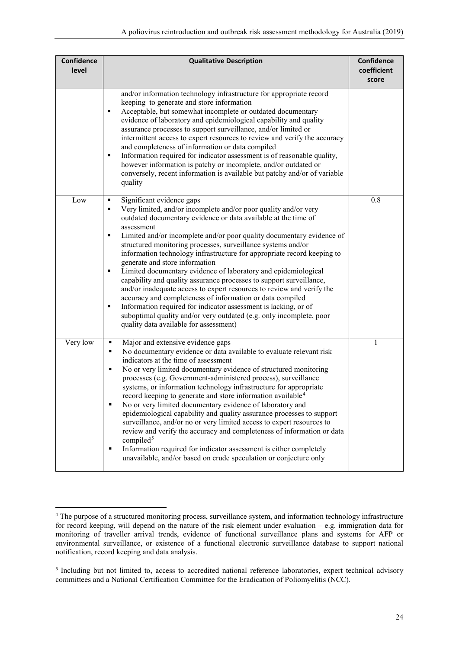| <b>Confidence</b><br>level | <b>Qualitative Description</b>                                                                                                                                                                                                                                                                                                                                                                                                                                                                                                                                                                                                                                                                                                                                                                                                                                                                                                 | Confidence<br>coefficient<br>score |
|----------------------------|--------------------------------------------------------------------------------------------------------------------------------------------------------------------------------------------------------------------------------------------------------------------------------------------------------------------------------------------------------------------------------------------------------------------------------------------------------------------------------------------------------------------------------------------------------------------------------------------------------------------------------------------------------------------------------------------------------------------------------------------------------------------------------------------------------------------------------------------------------------------------------------------------------------------------------|------------------------------------|
|                            | and/or information technology infrastructure for appropriate record<br>keeping to generate and store information<br>Acceptable, but somewhat incomplete or outdated documentary<br>٠<br>evidence of laboratory and epidemiological capability and quality<br>assurance processes to support surveillance, and/or limited or<br>intermittent access to expert resources to review and verify the accuracy<br>and completeness of information or data compiled<br>Information required for indicator assessment is of reasonable quality,<br>٠<br>however information is patchy or incomplete, and/or outdated or<br>conversely, recent information is available but patchy and/or of variable<br>quality                                                                                                                                                                                                                        |                                    |
| Low                        | Significant evidence gaps<br>٠<br>Very limited, and/or incomplete and/or poor quality and/or very<br>٠<br>outdated documentary evidence or data available at the time of<br>assessment<br>Limited and/or incomplete and/or poor quality documentary evidence of<br>٠<br>structured monitoring processes, surveillance systems and/or<br>information technology infrastructure for appropriate record keeping to<br>generate and store information<br>Limited documentary evidence of laboratory and epidemiological<br>٠<br>capability and quality assurance processes to support surveillance,<br>and/or inadequate access to expert resources to review and verify the<br>accuracy and completeness of information or data compiled<br>Information required for indicator assessment is lacking, or of<br>п<br>suboptimal quality and/or very outdated (e.g. only incomplete, poor<br>quality data available for assessment) | 0.8                                |
| Very low                   | Major and extensive evidence gaps<br>٠<br>No documentary evidence or data available to evaluate relevant risk<br>٠<br>indicators at the time of assessment<br>No or very limited documentary evidence of structured monitoring<br>٠<br>processes (e.g. Government-administered process), surveillance<br>systems, or information technology infrastructure for appropriate<br>record keeping to generate and store information available <sup>4</sup><br>No or very limited documentary evidence of laboratory and<br>epidemiological capability and quality assurance processes to support<br>surveillance, and/or no or very limited access to expert resources to<br>review and verify the accuracy and completeness of information or data<br>compiled <sup>5</sup><br>Information required for indicator assessment is either completely<br>٠<br>unavailable, and/or based on crude speculation or conjecture only        | 1                                  |

<span id="page-23-1"></span><span id="page-23-0"></span><sup>-</sup><sup>4</sup> The purpose of a structured monitoring process, surveillance system, and information technology infrastructure for record keeping, will depend on the nature of the risk element under evaluation – e.g. immigration data for monitoring of traveller arrival trends, evidence of functional surveillance plans and systems for AFP or environmental surveillance, or existence of a functional electronic surveillance database to support national notification, record keeping and data analysis.

<span id="page-23-2"></span><sup>&</sup>lt;sup>5</sup> Including but not limited to, access to accredited national reference laboratories, expert technical advisory committees and a National Certification Committee for the Eradication of Poliomyelitis (NCC).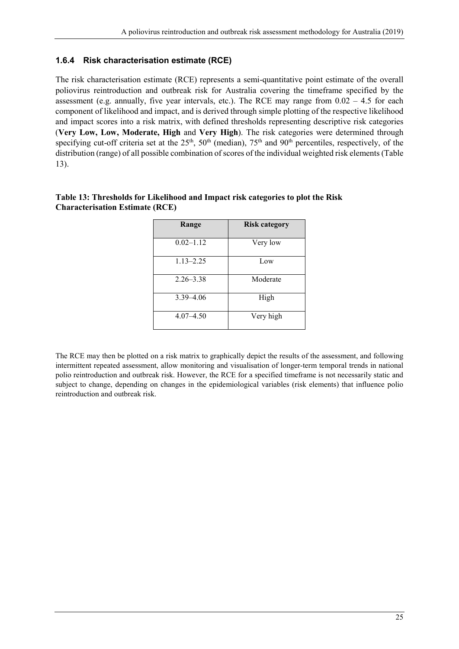#### <span id="page-24-0"></span>**1.6.4 Risk characterisation estimate (RCE)**

The risk characterisation estimate (RCE) represents a semi-quantitative point estimate of the overall poliovirus reintroduction and outbreak risk for Australia covering the timeframe specified by the assessment (e.g. annually, five year intervals, etc.). The RCE may range from  $0.02 - 4.5$  for each component of likelihood and impact, and is derived through simple plotting of the respective likelihood and impact scores into a risk matrix, with defined thresholds representing descriptive risk categories (**Very Low, Low, Moderate, High** and **Very High**). The risk categories were determined through specifying cut-off criteria set at the  $25<sup>th</sup>$ ,  $50<sup>th</sup>$  (median),  $75<sup>th</sup>$  and  $90<sup>th</sup>$  percentiles, respectively, of the distribution (range) of all possible combination of scores of the individual weighted risk elements[\(Table](#page-24-1)  [13\)](#page-24-1).

| Range         | Risk category |
|---------------|---------------|
| $0.02 - 1.12$ | Very low      |
| $1.13 - 2.25$ | Low           |
| $2.26 - 3.38$ | Moderate      |
| $3.39 - 4.06$ | High          |
| $4.07 - 4.50$ | Very high     |

#### <span id="page-24-1"></span>**Table 13: Thresholds for Likelihood and Impact risk categories to plot the Risk Characterisation Estimate (RCE)**

The RCE may then be plotted on a risk matrix to graphically depict the results of the assessment, and following intermittent repeated assessment, allow monitoring and visualisation of longer-term temporal trends in national polio reintroduction and outbreak risk. However, the RCE for a specified timeframe is not necessarily static and subject to change, depending on changes in the epidemiological variables (risk elements) that influence polio reintroduction and outbreak risk.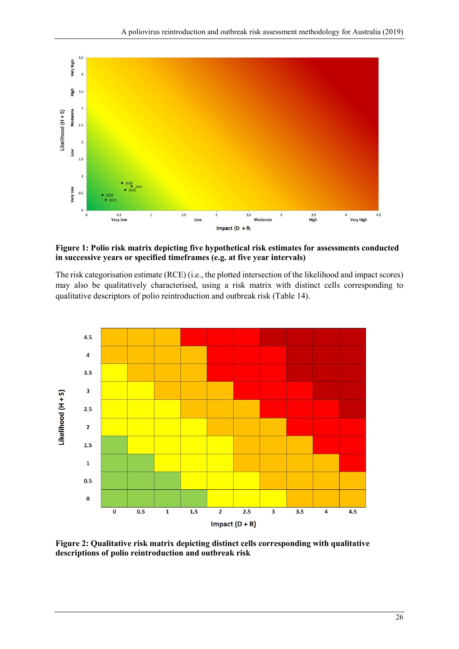

#### <span id="page-25-0"></span>**Figure 1: Polio risk matrix depicting five hypothetical risk estimates for assessments conducted in successive years or specified timeframes (e.g. at five year intervals)**

The risk categorisation estimate (RCE) (i.e., the plotted intersection of the likelihood and impact scores) may also be qualitatively characterised, using a risk matrix with distinct cells corresponding to qualitative descriptors of polio reintroduction and outbreak risk [\(Table 14\)](#page-25-2).



<span id="page-25-2"></span><span id="page-25-1"></span>**Figure 2: Qualitative risk matrix depicting distinct cells corresponding with qualitative descriptions of polio reintroduction and outbreak risk**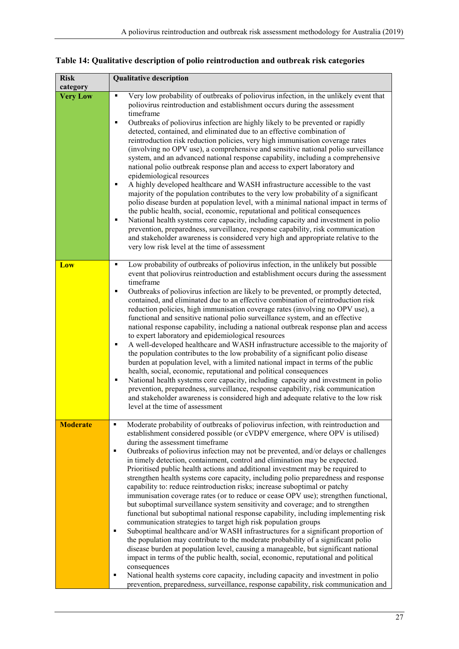| <b>Risk</b><br>category | <b>Qualitative description</b>                                                                                                                                                                                                                                                                                                                                                                                                                                                                                                                                                                                                                                                                                                                                                                                                                                                                                                                                                                                                                                                                                                                                                                                                                                                                                                                                                                                                                                                                                                          |
|-------------------------|-----------------------------------------------------------------------------------------------------------------------------------------------------------------------------------------------------------------------------------------------------------------------------------------------------------------------------------------------------------------------------------------------------------------------------------------------------------------------------------------------------------------------------------------------------------------------------------------------------------------------------------------------------------------------------------------------------------------------------------------------------------------------------------------------------------------------------------------------------------------------------------------------------------------------------------------------------------------------------------------------------------------------------------------------------------------------------------------------------------------------------------------------------------------------------------------------------------------------------------------------------------------------------------------------------------------------------------------------------------------------------------------------------------------------------------------------------------------------------------------------------------------------------------------|
| <b>Very Low</b>         | Very low probability of outbreaks of poliovirus infection, in the unlikely event that<br>٠<br>poliovirus reintroduction and establishment occurs during the assessment<br>timeframe<br>Outbreaks of poliovirus infection are highly likely to be prevented or rapidly<br>٠<br>detected, contained, and eliminated due to an effective combination of<br>reintroduction risk reduction policies, very high immunisation coverage rates<br>(involving no OPV use), a comprehensive and sensitive national polio surveillance<br>system, and an advanced national response capability, including a comprehensive<br>national polio outbreak response plan and access to expert laboratory and<br>epidemiological resources<br>A highly developed healthcare and WASH infrastructure accessible to the vast<br>٠<br>majority of the population contributes to the very low probability of a significant<br>polio disease burden at population level, with a minimal national impact in terms of<br>the public health, social, economic, reputational and political consequences<br>National health systems core capacity, including capacity and investment in polio<br>٠<br>prevention, preparedness, surveillance, response capability, risk communication<br>and stakeholder awareness is considered very high and appropriate relative to the<br>very low risk level at the time of assessment                                                                                                                                          |
| Low                     | Low probability of outbreaks of poliovirus infection, in the unlikely but possible<br>٠<br>event that poliovirus reintroduction and establishment occurs during the assessment<br>timeframe<br>Outbreaks of poliovirus infection are likely to be prevented, or promptly detected,<br>٠<br>contained, and eliminated due to an effective combination of reintroduction risk<br>reduction policies, high immunisation coverage rates (involving no OPV use), a<br>functional and sensitive national polio surveillance system, and an effective<br>national response capability, including a national outbreak response plan and access<br>to expert laboratory and epidemiological resources<br>A well-developed healthcare and WASH infrastructure accessible to the majority of<br>٠<br>the population contributes to the low probability of a significant polio disease<br>burden at population level, with a limited national impact in terms of the public<br>health, social, economic, reputational and political consequences<br>National health systems core capacity, including capacity and investment in polio<br>٠<br>prevention, preparedness, surveillance, response capability, risk communication<br>and stakeholder awareness is considered high and adequate relative to the low risk<br>level at the time of assessment                                                                                                                                                                                              |
| <b>Moderate</b>         | Moderate probability of outbreaks of poliovirus infection, with reintroduction and<br>٠<br>establishment considered possible (or cVDPV emergence, where OPV is utilised)<br>during the assessment timeframe<br>Outbreaks of poliovirus infection may not be prevented, and/or delays or challenges<br>٠<br>in timely detection, containment, control and elimination may be expected.<br>Prioritised public health actions and additional investment may be required to<br>strengthen health systems core capacity, including polio preparedness and response<br>capability to: reduce reintroduction risks; increase suboptimal or patchy<br>immunisation coverage rates (or to reduce or cease OPV use); strengthen functional,<br>but suboptimal surveillance system sensitivity and coverage; and to strengthen<br>functional but suboptimal national response capability, including implementing risk<br>communication strategies to target high risk population groups<br>Suboptimal healthcare and/or WASH infrastructures for a significant proportion of<br>٠<br>the population may contribute to the moderate probability of a significant polio<br>disease burden at population level, causing a manageable, but significant national<br>impact in terms of the public health, social, economic, reputational and political<br>consequences<br>National health systems core capacity, including capacity and investment in polio<br>٠<br>prevention, preparedness, surveillance, response capability, risk communication and |

**Table 14: Qualitative description of polio reintroduction and outbreak risk categories**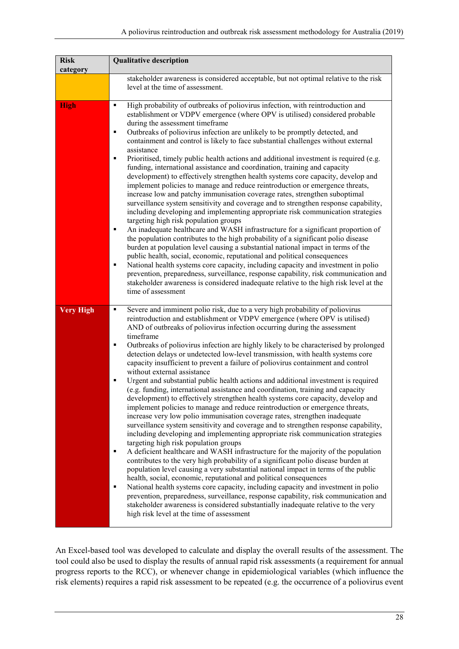| <b>Risk</b><br>category | <b>Qualitative description</b>                                                                                                                                                                                                                                                                                                                                                                                                                                                                                                                                                                                                                                                                                                                                                                                                                                                                                                                                                                                                                                                                                                                                                                                                                                                                                                                                                                                                                                                                                                                                                                                                                                                                                                                                                                                                                                              |
|-------------------------|-----------------------------------------------------------------------------------------------------------------------------------------------------------------------------------------------------------------------------------------------------------------------------------------------------------------------------------------------------------------------------------------------------------------------------------------------------------------------------------------------------------------------------------------------------------------------------------------------------------------------------------------------------------------------------------------------------------------------------------------------------------------------------------------------------------------------------------------------------------------------------------------------------------------------------------------------------------------------------------------------------------------------------------------------------------------------------------------------------------------------------------------------------------------------------------------------------------------------------------------------------------------------------------------------------------------------------------------------------------------------------------------------------------------------------------------------------------------------------------------------------------------------------------------------------------------------------------------------------------------------------------------------------------------------------------------------------------------------------------------------------------------------------------------------------------------------------------------------------------------------------|
|                         | stakeholder awareness is considered acceptable, but not optimal relative to the risk<br>level at the time of assessment.                                                                                                                                                                                                                                                                                                                                                                                                                                                                                                                                                                                                                                                                                                                                                                                                                                                                                                                                                                                                                                                                                                                                                                                                                                                                                                                                                                                                                                                                                                                                                                                                                                                                                                                                                    |
| <b>High</b>             | High probability of outbreaks of poliovirus infection, with reintroduction and<br>٠<br>establishment or VDPV emergence (where OPV is utilised) considered probable<br>during the assessment timeframe<br>Outbreaks of poliovirus infection are unlikely to be promptly detected, and<br>٠<br>containment and control is likely to face substantial challenges without external<br>assistance<br>Prioritised, timely public health actions and additional investment is required (e.g.<br>٠<br>funding, international assistance and coordination, training and capacity<br>development) to effectively strengthen health systems core capacity, develop and<br>implement policies to manage and reduce reintroduction or emergence threats,<br>increase low and patchy immunisation coverage rates, strengthen suboptimal<br>surveillance system sensitivity and coverage and to strengthen response capability,<br>including developing and implementing appropriate risk communication strategies<br>targeting high risk population groups<br>An inadequate healthcare and WASH infrastructure for a significant proportion of<br>п<br>the population contributes to the high probability of a significant polio disease<br>burden at population level causing a substantial national impact in terms of the<br>public health, social, economic, reputational and political consequences<br>National health systems core capacity, including capacity and investment in polio<br>٠<br>prevention, preparedness, surveillance, response capability, risk communication and<br>stakeholder awareness is considered inadequate relative to the high risk level at the<br>time of assessment                                                                                                                                                                                  |
| <b>Very High</b>        | Severe and imminent polio risk, due to a very high probability of poliovirus<br>٠<br>reintroduction and establishment or VDPV emergence (where OPV is utilised)<br>AND of outbreaks of poliovirus infection occurring during the assessment<br>timeframe<br>Outbreaks of poliovirus infection are highly likely to be characterised by prolonged<br>Ξ<br>detection delays or undetected low-level transmission, with health systems core<br>capacity insufficient to prevent a failure of poliovirus containment and control<br>without external assistance<br>Urgent and substantial public health actions and additional investment is required<br>٠<br>(e.g. funding, international assistance and coordination, training and capacity<br>development) to effectively strengthen health systems core capacity, develop and<br>implement policies to manage and reduce reintroduction or emergence threats,<br>increase very low polio immunisation coverage rates, strengthen inadequate<br>surveillance system sensitivity and coverage and to strengthen response capability,<br>including developing and implementing appropriate risk communication strategies<br>targeting high risk population groups<br>A deficient healthcare and WASH infrastructure for the majority of the population<br>Ξ<br>contributes to the very high probability of a significant polio disease burden at<br>population level causing a very substantial national impact in terms of the public<br>health, social, economic, reputational and political consequences<br>National health systems core capacity, including capacity and investment in polio<br>٠<br>prevention, preparedness, surveillance, response capability, risk communication and<br>stakeholder awareness is considered substantially inadequate relative to the very<br>high risk level at the time of assessment |

An Excel-based tool was developed to calculate and display the overall results of the assessment. The tool could also be used to display the results of annual rapid risk assessments (a requirement for annual progress reports to the RCC), or whenever change in epidemiological variables (which influence the risk elements) requires a rapid risk assessment to be repeated (e.g. the occurrence of a poliovirus event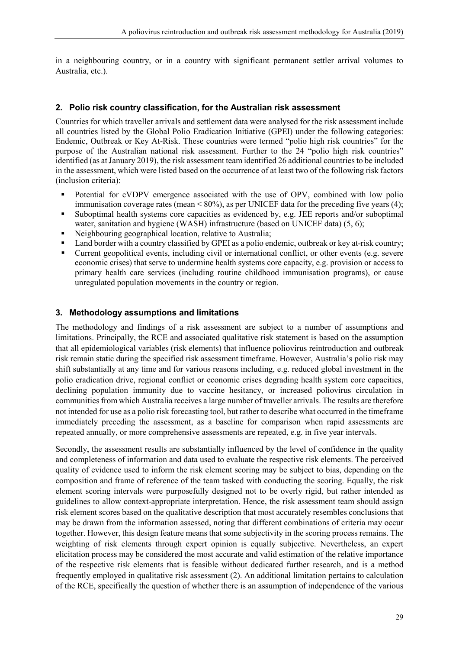in a neighbouring country, or in a country with significant permanent settler arrival volumes to Australia, etc.).

#### <span id="page-28-0"></span>**2. Polio risk country classification, for the Australian risk assessment**

Countries for which traveller arrivals and settlement data were analysed for the risk assessment include all countries listed by the [Global Polio Eradication Initiative \(GPEI\)](http://www.polioeradication.org/) under the following categories: [Endemic, Outbreak or Key At-Risk.](http://polioeradication.org/where-we-work/) These countries were termed "polio high risk countries" for the purpose of the Australian national risk assessment. Further to the 24 "polio high risk countries" identified (as at January 2019), the risk assessment team identified 26 additional countries to be included in the assessment, which were listed based on the occurrence of at least two of the following risk factors (inclusion criteria):

- Potential for cVDPV emergence associated with the use of OPV, combined with low polio immunisation coverage rates (mean < 80%), as per UNICEF data for the preceding five years (4);
- Suboptimal health systems core capacities as evidenced by, e.g. JEE reports and/or suboptimal water, sanitation and hygiene (WASH) infrastructure (based on UNICEF data) (5, 6);
- Neighbouring geographical location, relative to Australia;
- Land border with a country classified by GPEI as a polio endemic, outbreak or key at-risk country;
- Current geopolitical events, including civil or international conflict, or other events (e.g. severe economic crises) that serve to undermine health systems core capacity, e.g. provision or access to primary health care services (including routine childhood immunisation programs), or cause unregulated population movements in the country or region.

#### <span id="page-28-1"></span>**3. Methodology assumptions and limitations**

The methodology and findings of a risk assessment are subject to a number of assumptions and limitations. Principally, the RCE and associated qualitative risk statement is based on the assumption that all epidemiological variables (risk elements) that influence poliovirus reintroduction and outbreak risk remain static during the specified risk assessment timeframe. However, Australia's polio risk may shift substantially at any time and for various reasons including, e.g. reduced global investment in the polio eradication drive, regional conflict or economic crises degrading health system core capacities, declining population immunity due to vaccine hesitancy, or increased poliovirus circulation in communities from which Australia receives a large number of traveller arrivals. The results are therefore not intended for use as a polio risk forecasting tool, but rather to describe what occurred in the timeframe immediately preceding the assessment, as a baseline for comparison when rapid assessments are repeated annually, or more comprehensive assessments are repeated, e.g. in five year intervals.

Secondly, the assessment results are substantially influenced by the level of confidence in the quality and completeness of information and data used to evaluate the respective risk elements. The perceived quality of evidence used to inform the risk element scoring may be subject to bias, depending on the composition and frame of reference of the team tasked with conducting the scoring. Equally, the risk element scoring intervals were purposefully designed not to be overly rigid, but rather intended as guidelines to allow context-appropriate interpretation. Hence, the risk assessment team should assign risk element scores based on the qualitative description that most accurately resembles conclusions that may be drawn from the information assessed, noting that different combinations of criteria may occur together. However, this design feature means that some subjectivity in the scoring process remains. The weighting of risk elements through expert opinion is equally subjective. Nevertheless, an expert elicitation process may be considered the most accurate and valid estimation of the relative importance of the respective risk elements that is feasible without dedicated further research, and is a method frequently employed in qualitative risk assessment (2). An additional limitation pertains to calculation of the RCE, specifically the question of whether there is an assumption of independence of the various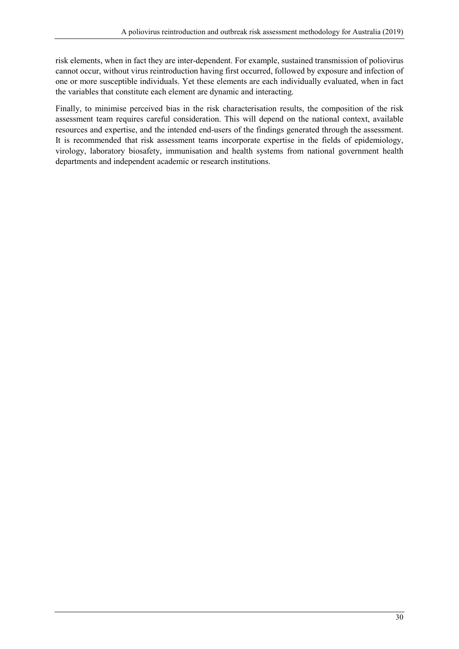risk elements, when in fact they are inter-dependent. For example, sustained transmission of poliovirus cannot occur, without virus reintroduction having first occurred, followed by exposure and infection of one or more susceptible individuals. Yet these elements are each individually evaluated, when in fact the variables that constitute each element are dynamic and interacting.

Finally, to minimise perceived bias in the risk characterisation results, the composition of the risk assessment team requires careful consideration. This will depend on the national context, available resources and expertise, and the intended end-users of the findings generated through the assessment. It is recommended that risk assessment teams incorporate expertise in the fields of epidemiology, virology, laboratory biosafety, immunisation and health systems from national government health departments and independent academic or research institutions.